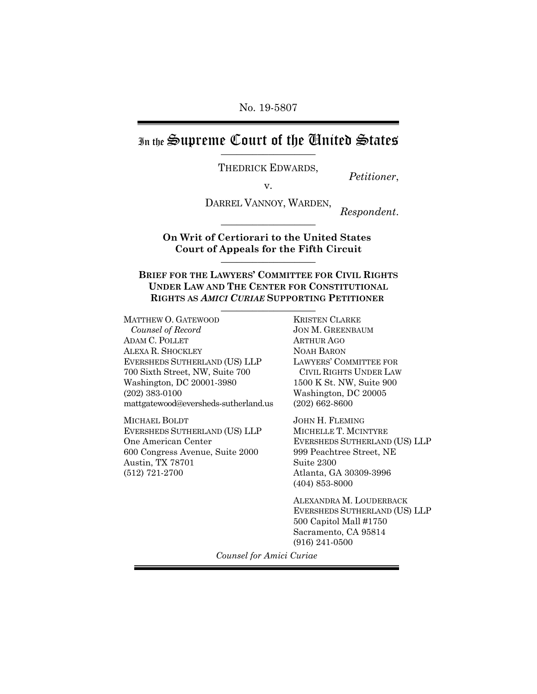No. 19-5807

In the Supreme Court of the Chuited States

THEDRICK EDWARDS,<br>  $V.$  *Petitioner*,

DARREL VANNOY, WARDEN, *Respondent*.

**On Writ of Certiorari to the United States Court of Appeals for the Fifth Circuit** \_\_\_\_\_\_\_\_\_\_\_\_\_\_\_\_\_\_

**BRIEF FOR THE LAWYERS' COMMITTEE FOR CIVIL RIGHTS UNDER LAW AND THE CENTER FOR CONSTITUTIONAL RIGHTS AS** *AMICI CURIAE* **SUPPORTING PETITIONER**  \_\_\_\_\_\_\_\_\_\_\_\_\_\_\_\_\_\_

MATTHEW O. GATEWOOD *Counsel of Record* ADAM C. POLLET ALEXA R. SHOCKLEY EVERSHEDS SUTHERLAND (US) LLP 700 Sixth Street, NW, Suite 700 Washington, DC 20001-3980 (202) 383-0100 mattgatewood@eversheds-sutherland.us

MICHAEL BOLDT EVERSHEDS SUTHERLAND (US) LLP One American Center 600 Congress Avenue, Suite 2000 Austin, TX 78701 (512) 721-2700

KRISTEN CLARKE JON M. GREENBAUM ARTHUR AGO NOAH BARON LAWYERS' COMMITTEE FOR CIVIL RIGHTS UNDER LAW 1500 K St. NW, Suite 900 Washington, DC 20005 (202) 662-8600

JOHN H. FLEMING MICHELLE T. MCINTYRE EVERSHEDS SUTHERLAND (US) LLP 999 Peachtree Street, NE Suite 2300 Atlanta, GA 30309-3996 (404) 853-8000

ALEXANDRA M. LOUDERBACK EVERSHEDS SUTHERLAND (US) LLP 500 Capitol Mall #1750 Sacramento, CA 95814 (916) 241-0500

*Counsel for Amici Curiae*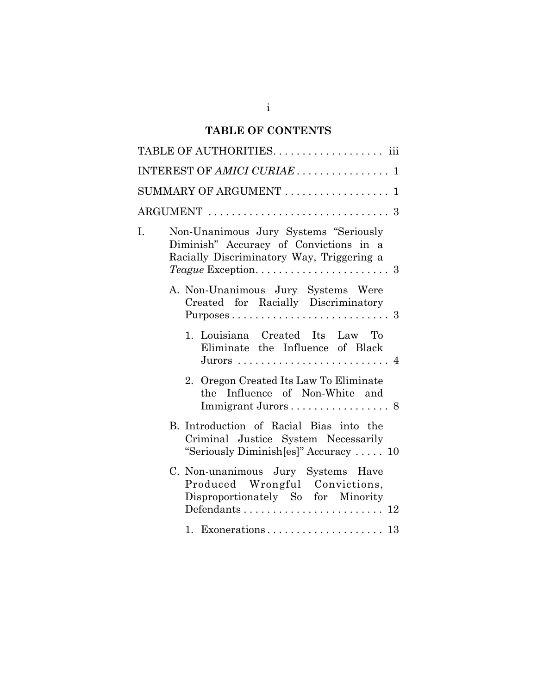# **TABLE OF CONTENTS**

|    | TABLE OF AUTHORITIES. iii                                                                                                    |
|----|------------------------------------------------------------------------------------------------------------------------------|
|    | INTEREST OF AMICI CURIAE 1                                                                                                   |
|    | $SUMMARY$ OF ARGUMENT $\ldots \ldots \ldots \ldots \ldots 1$                                                                 |
|    | $\text{ARGUMENT}\; \ldots \ldots \ldots \ldots \ldots \ldots \ldots \ldots \ldots \; 3$                                      |
| Ī. | Non-Unanimous Jury Systems "Seriously<br>Diminish" Accuracy of Convictions in a<br>Racially Discriminatory Way, Triggering a |
|    | A. Non-Unanimous Jury Systems Were<br>Created for Racially Discriminatory                                                    |
|    | 1. Louisiana Created Its Law To<br>Eliminate the Influence of Black                                                          |
|    | 2. Oregon Created Its Law To Eliminate<br>the Influence of Non-White and                                                     |
|    | B. Introduction of Racial Bias into the<br>Criminal Justice System Necessarily<br>"Seriously Diminish[es]" Accuracy  10      |
|    | C. Non-unanimous Jury Systems Have<br>Produced Wrongful Convictions,<br>Disproportionately So for Minority                   |
|    |                                                                                                                              |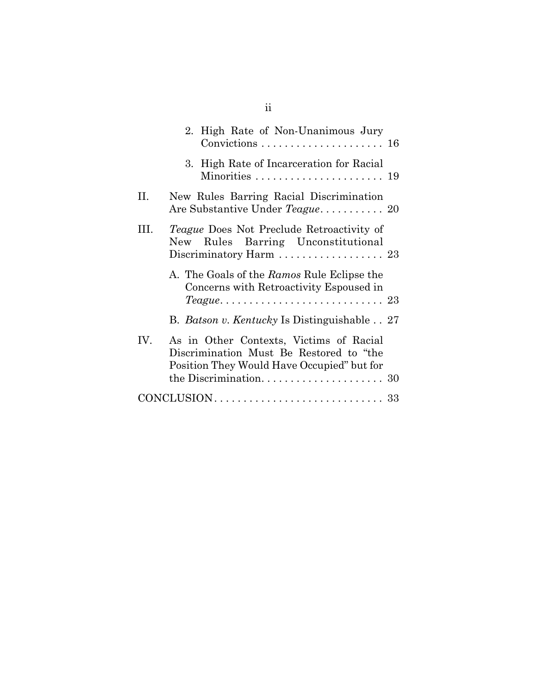|      | 2. High Rate of Non-Unanimous Jury                                                                                                                                  |
|------|---------------------------------------------------------------------------------------------------------------------------------------------------------------------|
|      | 3. High Rate of Incarceration for Racial                                                                                                                            |
| П.   | New Rules Barring Racial Discrimination<br>Are Substantive Under Teague 20                                                                                          |
| III. | <i>Teague</i> Does Not Preclude Retroactivity of<br>New Rules Barring Unconstitutional<br>Discriminatory Harm $\ldots \ldots \ldots \ldots \ldots 23$               |
|      | A. The Goals of the Ramos Rule Eclipse the<br>Concerns with Retroactivity Espoused in<br>$Teague \ldots \ldots \ldots \ldots \ldots \ldots \ldots \ldots \ldots 23$ |
|      | B. <i>Batson v. Kentucky</i> Is Distinguishable 27                                                                                                                  |
| IV.  | As in Other Contexts, Victims of Racial<br>Discrimination Must Be Restored to "the<br>Position They Would Have Occupied" but for                                    |
|      |                                                                                                                                                                     |
|      |                                                                                                                                                                     |

ii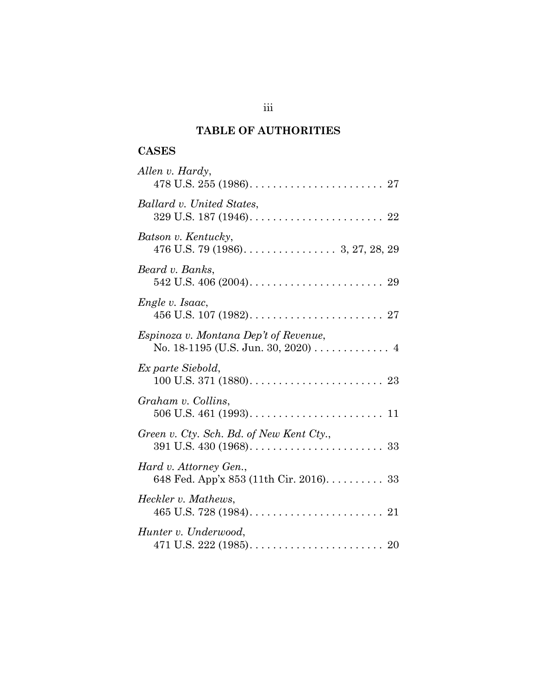# **TABLE OF AUTHORITIES**

## **CASES**

| Allen v. Hardy,                                                             |
|-----------------------------------------------------------------------------|
| Ballard v. United States,                                                   |
| Batson v. Kentucky,<br>476 U.S. 79 (1986). $\dots$ . 3, 27, 28, 29          |
| Beard v. Banks,                                                             |
| Engle v. Isaac,                                                             |
| Espinoza v. Montana Dep't of Revenue,<br>No. 18-1195 (U.S. Jun. 30, 2020) 4 |
| Ex parte Siebold,                                                           |
| Graham v. Collins,                                                          |
| Green v. Cty. Sch. Bd. of New Kent Cty.,                                    |
| Hard v. Attorney Gen.,<br>648 Fed. App'x 853 (11th Cir. 2016). 33           |
| Heckler v. Mathews,                                                         |
| Hunter v. Underwood,                                                        |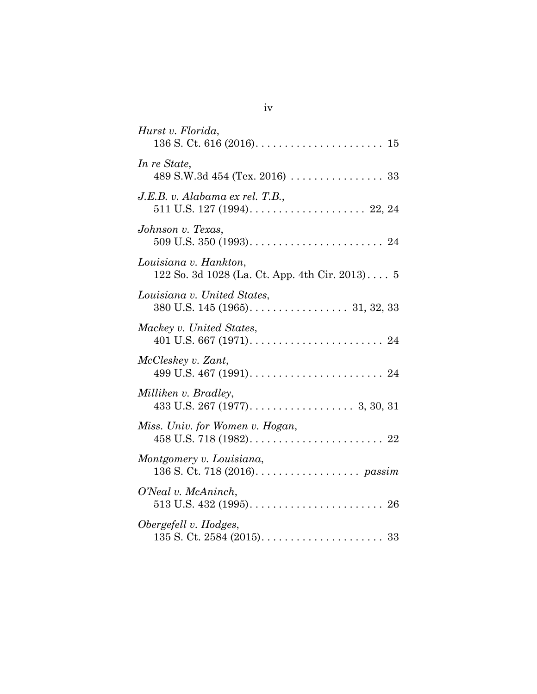| Hurst v. Florida,                                                                                          |
|------------------------------------------------------------------------------------------------------------|
| In re State,<br>489 S.W.3d 454 (Tex. 2016) $\ldots \ldots \ldots \ldots \ldots 33$                         |
| J.E.B. v. Alabama ex rel. T.B.,<br>511 U.S. 127 (1994). $\ldots$ . $\ldots$ . $\ldots$ . $\ldots$ . 22, 24 |
| Johnson v. Texas,                                                                                          |
| Louisiana v. Hankton,<br>122 So. 3d 1028 (La. Ct. App. 4th Cir. 2013) 5                                    |
| Louisiana v. United States,                                                                                |
| Mackey v. United States,                                                                                   |
| McCleskey v. Zant,                                                                                         |
| Milliken v. Bradley,                                                                                       |
| Miss. Univ. for Women v. Hogan,                                                                            |
| Montgomery v. Louisiana,<br>136 S. Ct. 718 (2016). $\ldots \ldots \ldots \ldots \ldots$ passim             |
| O'Neal v. McAninch,                                                                                        |
| Obergefell v. Hodges,                                                                                      |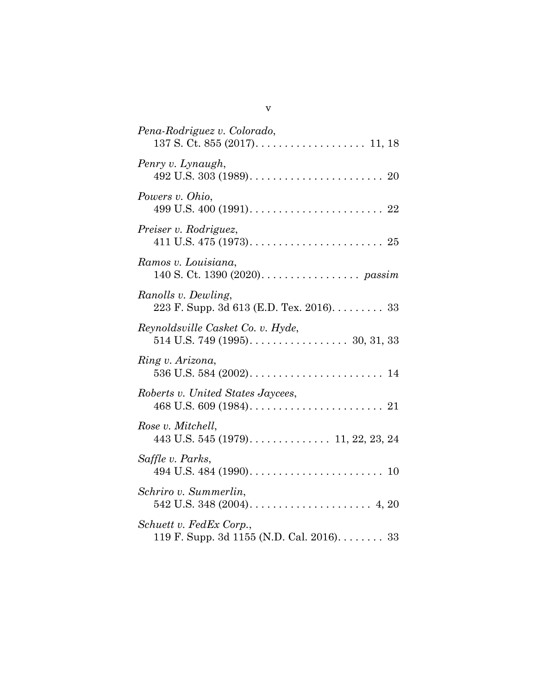| Pena-Rodriguez v. Colorado,                                                    |
|--------------------------------------------------------------------------------|
| Penry v. Lynaugh,                                                              |
| Powers v. Ohio,                                                                |
| Preiser v. Rodriguez,                                                          |
| Ramos v. Louisiana,<br>140 S. Ct. 1390 (2020). passim                          |
| Ranolls v. Dewling,<br>223 F. Supp. 3d 613 (E.D. Tex. 2016). 33                |
| Reynoldsville Casket Co. v. Hyde,                                              |
| Ring v. Arizona,                                                               |
| Roberts v. United States Jaycees,                                              |
| Rose v. Mitchell,<br>443 U.S. 545 (1979). $\ldots$ . $\ldots$ . 11, 22, 23, 24 |
| Saffle v. Parks,                                                               |
| Schriro v. Summerlin,                                                          |
| Schuett v. FedEx Corp.,<br>119 F. Supp. 3d 1155 (N.D. Cal. 2016). 33           |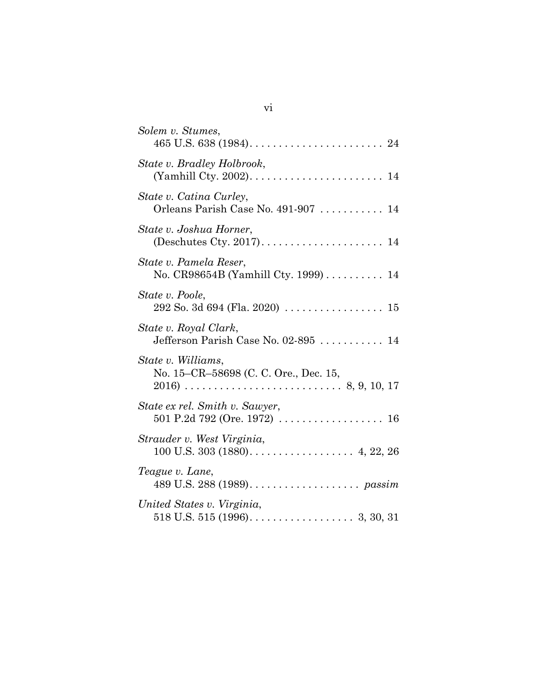| Solem v. Stumes,                                               |
|----------------------------------------------------------------|
| State v. Bradley Holbrook,                                     |
| State v. Catina Curley,<br>Orleans Parish Case No. 491-907  14 |
| State v. Joshua Horner,                                        |
| State v. Pamela Reser,<br>No. CR98654B (Yamhill Cty. 1999) 14  |
| State v. Poole,                                                |
| State v. Royal Clark,                                          |
| State v. Williams,<br>No. 15–CR–58698 (C. C. Ore., Dec. 15,    |
| State ex rel. Smith v. Sawyer,                                 |
| Strauder v. West Virginia,                                     |
| Teague v. Lane,                                                |
| United States v. Virginia,                                     |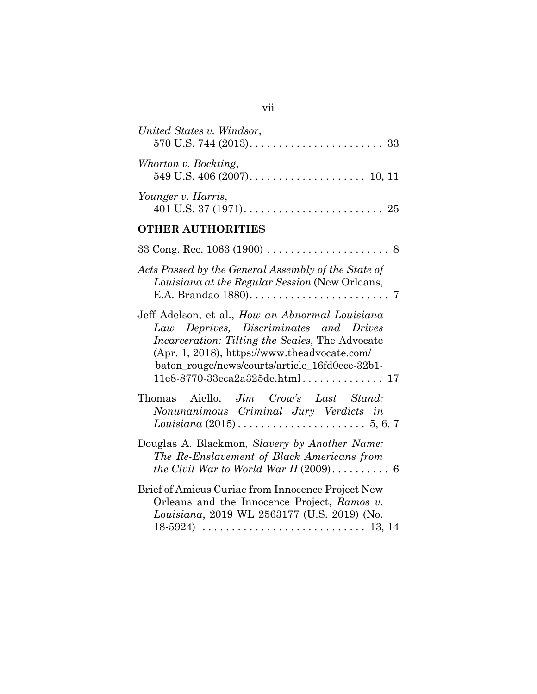| United States v. Windsor,                                                                                                                                                                                                                                                              |
|----------------------------------------------------------------------------------------------------------------------------------------------------------------------------------------------------------------------------------------------------------------------------------------|
| Whorton v. Bockting,                                                                                                                                                                                                                                                                   |
| Younger v. Harris,                                                                                                                                                                                                                                                                     |
| <b>OTHER AUTHORITIES</b>                                                                                                                                                                                                                                                               |
|                                                                                                                                                                                                                                                                                        |
| Acts Passed by the General Assembly of the State of<br>Louisiana at the Regular Session (New Orleans,                                                                                                                                                                                  |
| Jeff Adelson, et al., How an Abnormal Louisiana<br>Law Deprives, Discriminates and Drives<br><i>Incarceration: Tilting the Scales, The Advocate</i><br>(Apr. 1, 2018), https://www.theadvocate.com/<br>baton_rouge/news/courts/article_16fd0ece-32b1-<br>$11e8-8770-33eca2a325de.html$ |
| Thomas Aiello, Jim Crow's Last Stand:<br>Nonunanimous Criminal Jury Verdicts in                                                                                                                                                                                                        |
| Douglas A. Blackmon, Slavery by Another Name:<br>The Re-Enslavement of Black Americans from<br>the Civil War to World War II $(2009)$ 6                                                                                                                                                |
| Brief of Amicus Curiae from Innocence Project New<br>Orleans and the Innocence Project, Ramos v.<br>Louisiana, 2019 WL 2563177 (U.S. 2019) (No.                                                                                                                                        |

# vii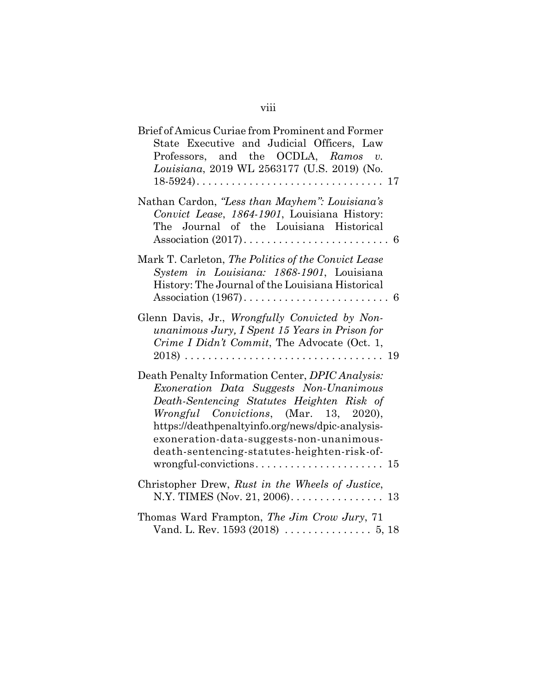| Brief of Amicus Curiae from Prominent and Former<br>State Executive and Judicial Officers, Law<br>Professors, and the OCDLA, $Ramos$ v.<br>Louisiana, 2019 WL 2563177 (U.S. 2019) (No.                                                                                                                                             |
|------------------------------------------------------------------------------------------------------------------------------------------------------------------------------------------------------------------------------------------------------------------------------------------------------------------------------------|
| Nathan Cardon, "Less than Mayhem": Louisiana's<br>Convict Lease, 1864-1901, Louisiana History:<br>The Journal of the Louisiana Historical                                                                                                                                                                                          |
| Mark T. Carleton, The Politics of the Convict Lease<br>System in Louisiana: 1868-1901, Louisiana<br>History: The Journal of the Louisiana Historical                                                                                                                                                                               |
| Glenn Davis, Jr., Wrongfully Convicted by Non-<br>unanimous Jury, I Spent 15 Years in Prison for<br>Crime I Didn't Commit, The Advocate (Oct. 1,                                                                                                                                                                                   |
| Death Penalty Information Center, DPIC Analysis:<br>Exoneration Data Suggests Non-Unanimous<br>Death-Sentencing Statutes Heighten Risk of<br>Wrongful Convictions, (Mar. 13, 2020),<br>https://deathpenaltyinfo.org/news/dpic-analysis-<br>exoneration-data-suggests-non-unanimous-<br>death-sentencing-statutes-heighten-risk-of- |
| Christopher Drew, Rust in the Wheels of Justice,                                                                                                                                                                                                                                                                                   |
| Thomas Ward Frampton, The Jim Crow Jury, 71                                                                                                                                                                                                                                                                                        |

# viii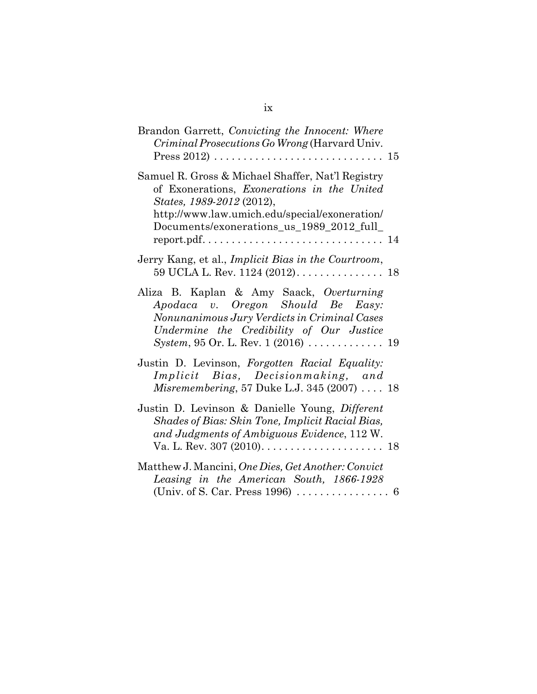| Brandon Garrett, Convicting the Innocent: Where<br>Criminal Prosecutions Go Wrong (Harvard Univ.<br>Press 2012) $\ldots \ldots \ldots \ldots \ldots \ldots \ldots \ldots \ldots 15$                                                                                                                            |  |
|----------------------------------------------------------------------------------------------------------------------------------------------------------------------------------------------------------------------------------------------------------------------------------------------------------------|--|
| Samuel R. Gross & Michael Shaffer, Nat'l Registry<br>of Exonerations, Exonerations in the United<br>States, 1989-2012 (2012),<br>http://www.law.umich.edu/special/exoneration/<br>Documents/exonerations_us_1989_2012_full_<br>$report.pdf. \ldots \ldots \ldots \ldots \ldots \ldots \ldots \ldots \ldots 14$ |  |
| Jerry Kang, et al., Implicit Bias in the Courtroom,                                                                                                                                                                                                                                                            |  |
| Aliza B. Kaplan & Amy Saack, Overturning<br>Apodaca v. Oregon Should Be Easy:<br>Nonunanimous Jury Verdicts in Criminal Cases<br>Undermine the Credibility of Our Justice                                                                                                                                      |  |
| Justin D. Levinson, Forgotten Racial Equality:<br>Implicit Bias, Decisionmaking, and<br>Misremembering, 57 Duke L.J. 345 (2007) 18                                                                                                                                                                             |  |
| Justin D. Levinson & Danielle Young, Different<br>Shades of Bias: Skin Tone, Implicit Racial Bias,<br>and Judgments of Ambiguous Evidence, 112 W.                                                                                                                                                              |  |
| Matthew J. Mancini, One Dies, Get Another: Convict<br>Leasing in the American South, 1866-1928                                                                                                                                                                                                                 |  |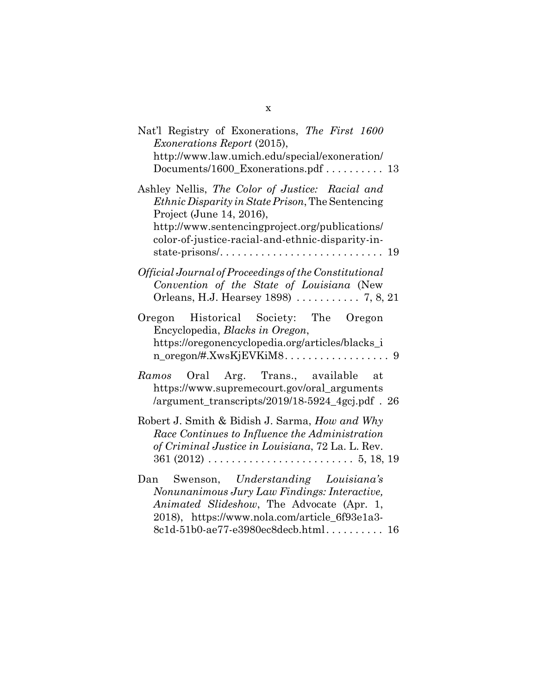| Nat'l Registry of Exonerations, The First 1600<br><i>Exonerations Report (2015),</i><br>http://www.law.umich.edu/special/exoneration/<br>Documents/1600_Exonerations.pdf 13                                                                  |
|----------------------------------------------------------------------------------------------------------------------------------------------------------------------------------------------------------------------------------------------|
| Ashley Nellis, The Color of Justice: Racial and<br><i>Ethnic Disparity in State Prison, The Sentencing</i><br>Project (June 14, 2016),<br>http://www.sentencingproject.org/publications/<br>color-of-justice-racial-and-ethnic-disparity-in- |
| Official Journal of Proceedings of the Constitutional<br>Convention of the State of Louisiana (New                                                                                                                                           |
| Oregon Historical Society: The Oregon<br>Encyclopedia, Blacks in Oregon,<br>https://oregonencyclopedia.org/articles/blacks_i                                                                                                                 |
| Ramos Oral Arg. Trans., available<br>at<br>https://www.supremecourt.gov/oral_arguments<br>/argument_transcripts/2019/18-5924_4gcj.pdf . 26                                                                                                   |
| Robert J. Smith & Bidish J. Sarma, How and Why<br>Race Continues to Influence the Administration<br>of Criminal Justice in Louisiana, 72 La. L. Rev.<br>$361 (2012) \ldots \ldots \ldots \ldots \ldots \ldots \ldots 5, 18, 19$              |
| Swenson, Understanding Louisiana's<br>Dan<br>Nonunanimous Jury Law Findings: Interactive,<br>Animated Slideshow, The Advocate (Apr. 1,<br>2018), https://www.nola.com/article_6f93e1a3-<br>8c1d-51b0-ae77-e3980ec8decb.html 16               |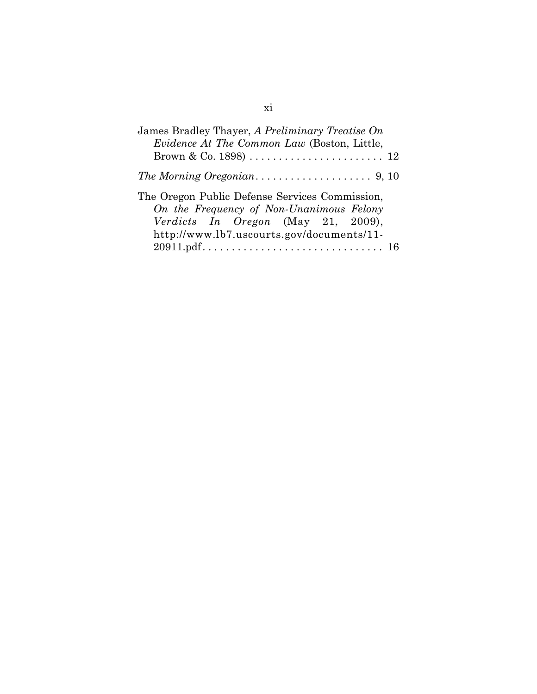| James Bradley Thayer, A Preliminary Treatise On<br>Evidence At The Common Law (Boston, Little, |
|------------------------------------------------------------------------------------------------|
|                                                                                                |
|                                                                                                |
| The Oregon Public Defense Services Commission,                                                 |
| On the Frequency of Non-Unanimous Felony                                                       |
| Verdicts In Oregon (May 21, 2009),                                                             |
| http://www.lb7.uscourts.gov/documents/11-                                                      |
|                                                                                                |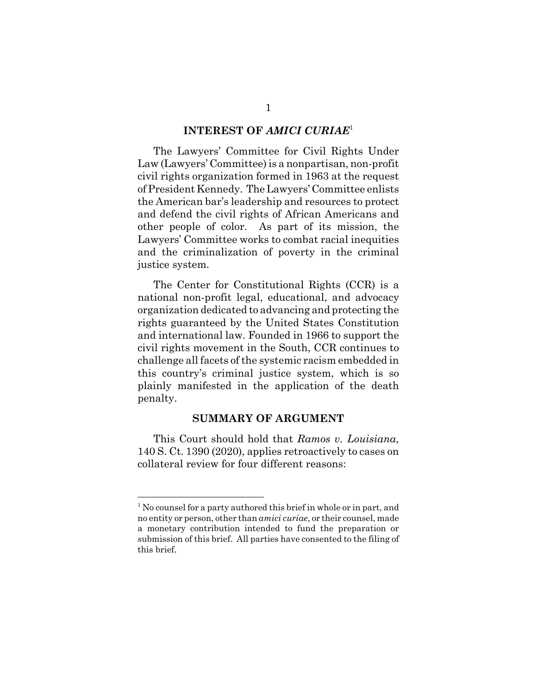#### **INTEREST OF** *AMICI CURIAE*<sup>1</sup>

The Lawyers' Committee for Civil Rights Under Law (Lawyers' Committee) is a nonpartisan, non-profit civil rights organization formed in 1963 at the request of President Kennedy. The Lawyers' Committee enlists the American bar's leadership and resources to protect and defend the civil rights of African Americans and other people of color. As part of its mission, the Lawyers' Committee works to combat racial inequities and the criminalization of poverty in the criminal justice system.

The Center for Constitutional Rights (CCR) is a national non-profit legal, educational, and advocacy organization dedicated to advancing and protecting the rights guaranteed by the United States Constitution and international law. Founded in 1966 to support the civil rights movement in the South, CCR continues to challenge all facets of the systemic racism embedded in this country's criminal justice system, which is so plainly manifested in the application of the death penalty.

#### **SUMMARY OF ARGUMENT**

This Court should hold that *Ramos v. Louisiana*, 140 S. Ct. 1390 (2020), applies retroactively to cases on collateral review for four different reasons:

<sup>&</sup>lt;sup>1</sup> No counsel for a party authored this brief in whole or in part, and no entity or person, other than *amici curiae*, or their counsel, made a monetary contribution intended to fund the preparation or submission of this brief. All parties have consented to the filing of this brief.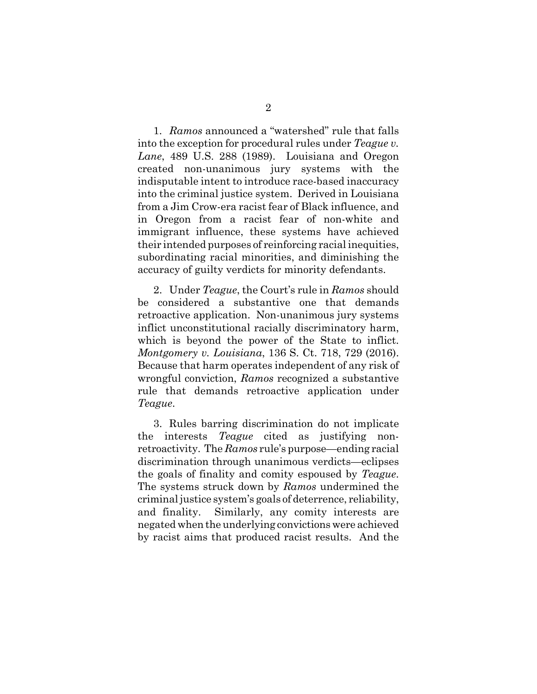1. *Ramos* announced a "watershed" rule that falls into the exception for procedural rules under *Teague v. Lane*, 489 U.S. 288 (1989). Louisiana and Oregon created non-unanimous jury systems with the indisputable intent to introduce race-based inaccuracy into the criminal justice system. Derived in Louisiana from a Jim Crow-era racist fear of Black influence, and in Oregon from a racist fear of non-white and immigrant influence, these systems have achieved their intended purposes of reinforcing racial inequities, subordinating racial minorities, and diminishing the accuracy of guilty verdicts for minority defendants.

2. Under *Teague*, the Court's rule in *Ramos* should be considered a substantive one that demands retroactive application. Non-unanimous jury systems inflict unconstitutional racially discriminatory harm, which is beyond the power of the State to inflict. *Montgomery v. Louisiana*, 136 S. Ct. 718, 729 (2016). Because that harm operates independent of any risk of wrongful conviction, *Ramos* recognized a substantive rule that demands retroactive application under *Teague*.

3. Rules barring discrimination do not implicate the interests *Teague* cited as justifying nonretroactivity. The *Ramos* rule's purpose—ending racial discrimination through unanimous verdicts—eclipses the goals of finality and comity espoused by *Teague*. The systems struck down by *Ramos* undermined the criminal justice system's goals of deterrence, reliability, and finality. Similarly, any comity interests are negated when the underlying convictions were achieved by racist aims that produced racist results. And the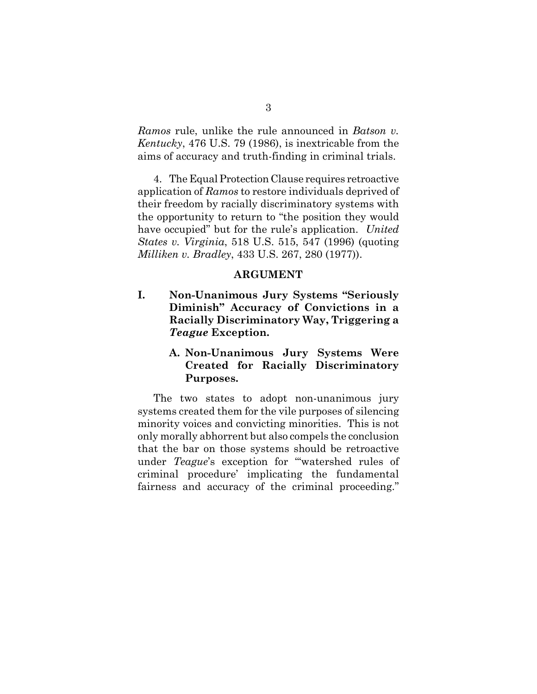*Ramos* rule, unlike the rule announced in *Batson v. Kentucky*, 476 U.S. 79 (1986), is inextricable from the aims of accuracy and truth-finding in criminal trials.

 4. The Equal Protection Clause requires retroactive application of *Ramos* to restore individuals deprived of their freedom by racially discriminatory systems with the opportunity to return to "the position they would have occupied" but for the rule's application. *United States v. Virginia*, 518 U.S. 515, 547 (1996) (quoting *Milliken v. Bradley*, 433 U.S. 267, 280 (1977)).

#### **ARGUMENT**

**I. Non-Unanimous Jury Systems "Seriously Diminish" Accuracy of Convictions in a Racially Discriminatory Way, Triggering a** *Teague* **Exception.**

### **A. Non-Unanimous Jury Systems Were Created for Racially Discriminatory Purposes.**

The two states to adopt non-unanimous jury systems created them for the vile purposes of silencing minority voices and convicting minorities. This is not only morally abhorrent but also compels the conclusion that the bar on those systems should be retroactive under *Teague*'s exception for "'watershed rules of criminal procedure' implicating the fundamental fairness and accuracy of the criminal proceeding."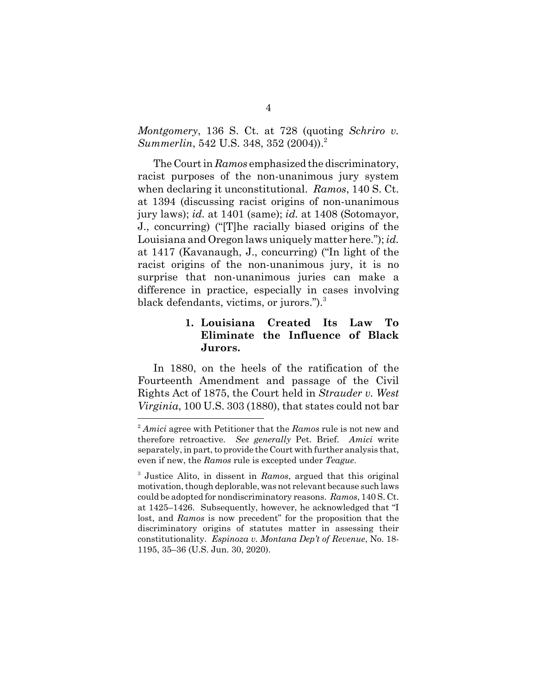*Montgomery*, 136 S. Ct. at 728 (quoting *Schriro v. Summerlin*, 542 U.S. 348, 352 (2004)).<sup>2</sup>

The Court in *Ramos* emphasized the discriminatory, racist purposes of the non-unanimous jury system when declaring it unconstitutional. *Ramos*, 140 S. Ct. at 1394 (discussing racist origins of non-unanimous jury laws); *id.* at 1401 (same); *id.* at 1408 (Sotomayor, J., concurring) ("[T]he racially biased origins of the Louisiana and Oregon laws uniquely matter here."); *id.* at 1417 (Kavanaugh, J., concurring) ("In light of the racist origins of the non-unanimous jury, it is no surprise that non-unanimous juries can make a difference in practice, especially in cases involving black defendants, victims, or jurors.").<sup>3</sup>

### **1. Louisiana Created Its Law To Eliminate the Influence of Black Jurors.**

In 1880, on the heels of the ratification of the Fourteenth Amendment and passage of the Civil Rights Act of 1875, the Court held in *Strauder v. West Virginia*, 100 U.S. 303 (1880), that states could not bar

<sup>2</sup> *Amici* agree with Petitioner that the *Ramos* rule is not new and therefore retroactive. *See generally* Pet. Brief. *Amici* write separately, in part, to provide the Court with further analysis that, even if new, the *Ramos* rule is excepted under *Teague*.

<sup>3</sup> Justice Alito, in dissent in *Ramos*, argued that this original motivation, though deplorable, was not relevant because such laws could be adopted for nondiscriminatory reasons. *Ramos*, 140 S. Ct. at 1425–1426. Subsequently, however, he acknowledged that "I lost, and *Ramos* is now precedent" for the proposition that the discriminatory origins of statutes matter in assessing their constitutionality. *Espinoza v. Montana Dep't of Revenue*, No. 18- 1195, 35–36 (U.S. Jun. 30, 2020).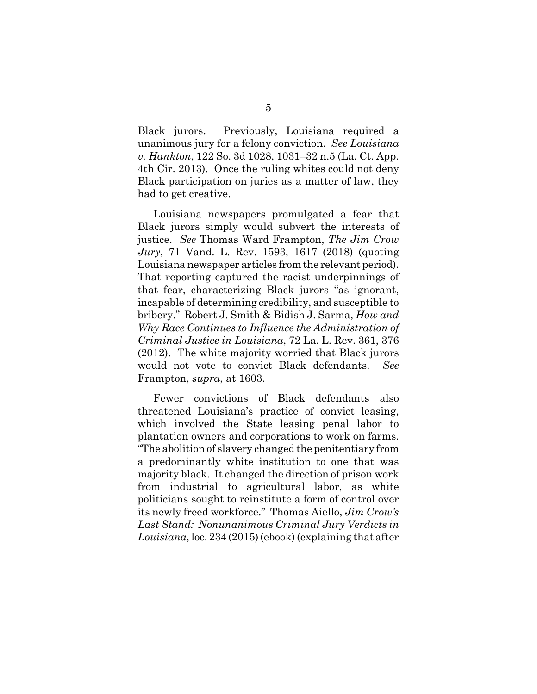Black jurors. Previously, Louisiana required a unanimous jury for a felony conviction. *See Louisiana v. Hankton*, 122 So. 3d 1028, 1031–32 n.5 (La. Ct. App. 4th Cir. 2013). Once the ruling whites could not deny Black participation on juries as a matter of law, they had to get creative.

Louisiana newspapers promulgated a fear that Black jurors simply would subvert the interests of justice. *See* Thomas Ward Frampton, *The Jim Crow Jury*, 71 Vand. L. Rev. 1593, 1617 (2018) (quoting Louisiana newspaper articles from the relevant period). That reporting captured the racist underpinnings of that fear, characterizing Black jurors "as ignorant, incapable of determining credibility, and susceptible to bribery." Robert J. Smith & Bidish J. Sarma, *How and Why Race Continues to Influence the Administration of Criminal Justice in Louisiana*, 72 La. L. Rev. 361, 376 (2012). The white majority worried that Black jurors would not vote to convict Black defendants. *See* Frampton, *supra*, at 1603.

Fewer convictions of Black defendants also threatened Louisiana's practice of convict leasing, which involved the State leasing penal labor to plantation owners and corporations to work on farms. "The abolition of slavery changed the penitentiary from a predominantly white institution to one that was majority black. It changed the direction of prison work from industrial to agricultural labor, as white politicians sought to reinstitute a form of control over its newly freed workforce." Thomas Aiello, *Jim Crow's Last Stand: Nonunanimous Criminal Jury Verdicts in Louisiana*, loc. 234 (2015) (ebook) (explaining that after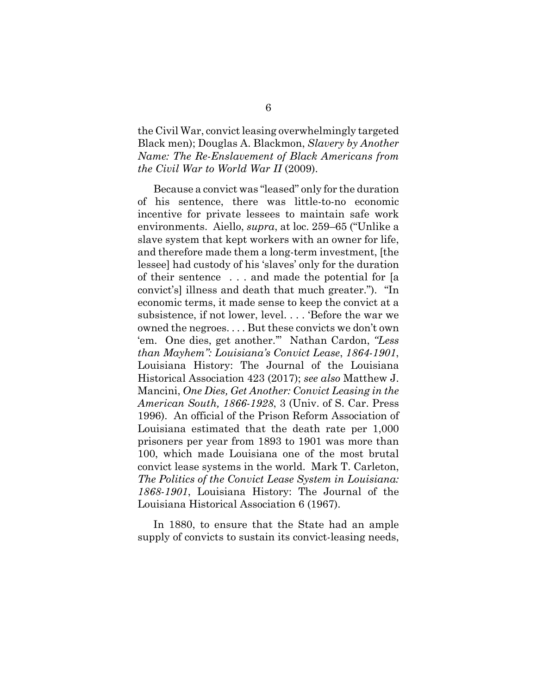the Civil War, convict leasing overwhelmingly targeted Black men); Douglas A. Blackmon, *Slavery by Another Name: The Re-Enslavement of Black Americans from the Civil War to World War II* (2009).

Because a convict was "leased" only for the duration of his sentence, there was little-to-no economic incentive for private lessees to maintain safe work environments. Aiello, *supra*, at loc. 259–65 ("Unlike a slave system that kept workers with an owner for life, and therefore made them a long-term investment, [the lessee] had custody of his 'slaves' only for the duration of their sentence . . . and made the potential for [a convict's] illness and death that much greater."). "In economic terms, it made sense to keep the convict at a subsistence, if not lower, level. . . . 'Before the war we owned the negroes. . . . But these convicts we don't own 'em. One dies, get another.'" Nathan Cardon, *"Less than Mayhem": Louisiana's Convict Lease*, *1864-1901*, Louisiana History: The Journal of the Louisiana Historical Association 423 (2017); *see also* Matthew J. Mancini, *One Dies, Get Another: Convict Leasing in the American South, 1866-1928*, 3 (Univ. of S. Car. Press 1996). An official of the Prison Reform Association of Louisiana estimated that the death rate per 1,000 prisoners per year from 1893 to 1901 was more than 100, which made Louisiana one of the most brutal convict lease systems in the world. Mark T. Carleton, *The Politics of the Convict Lease System in Louisiana: 1868-1901*, Louisiana History: The Journal of the Louisiana Historical Association 6 (1967).

In 1880, to ensure that the State had an ample supply of convicts to sustain its convict-leasing needs,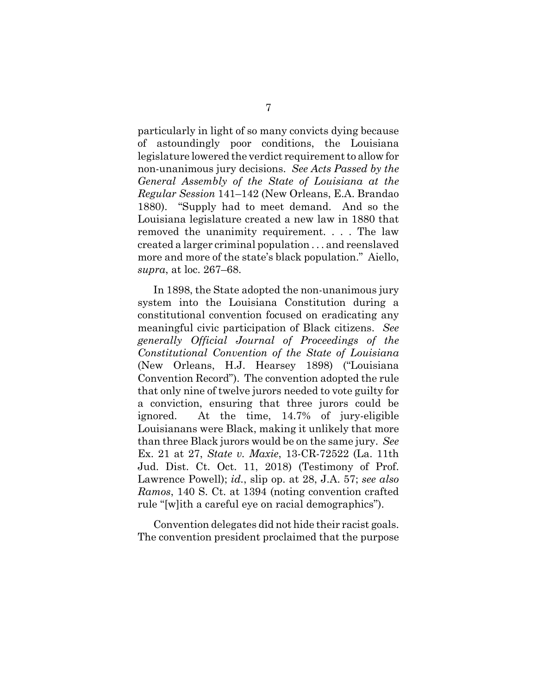particularly in light of so many convicts dying because of astoundingly poor conditions, the Louisiana legislature lowered the verdict requirement to allow for non-unanimous jury decisions. *See Acts Passed by the General Assembly of the State of Louisiana at the Regular Session* 141–142 (New Orleans, E.A. Brandao 1880)."Supply had to meet demand. And so the Louisiana legislature created a new law in 1880 that removed the unanimity requirement. . . . The law created a larger criminal population . . . and reenslaved more and more of the state's black population." Aiello, *supra*, at loc. 267–68.

In 1898, the State adopted the non-unanimous jury system into the Louisiana Constitution during a constitutional convention focused on eradicating any meaningful civic participation of Black citizens. *See generally Official Journal of Proceedings of the Constitutional Convention of the State of Louisiana* (New Orleans, H.J. Hearsey 1898) ("Louisiana Convention Record"). The convention adopted the rule that only nine of twelve jurors needed to vote guilty for a conviction, ensuring that three jurors could be ignored. At the time, 14.7% of jury-eligible Louisianans were Black, making it unlikely that more than three Black jurors would be on the same jury. *See* Ex. 21 at 27, *State v. Maxie*, 13-CR-72522 (La. 11th Jud. Dist. Ct. Oct. 11, 2018) (Testimony of Prof. Lawrence Powell); *id.*, slip op. at 28, J.A. 57; *see also Ramos*, 140 S. Ct. at 1394 (noting convention crafted rule "[w]ith a careful eye on racial demographics").

Convention delegates did not hide their racist goals. The convention president proclaimed that the purpose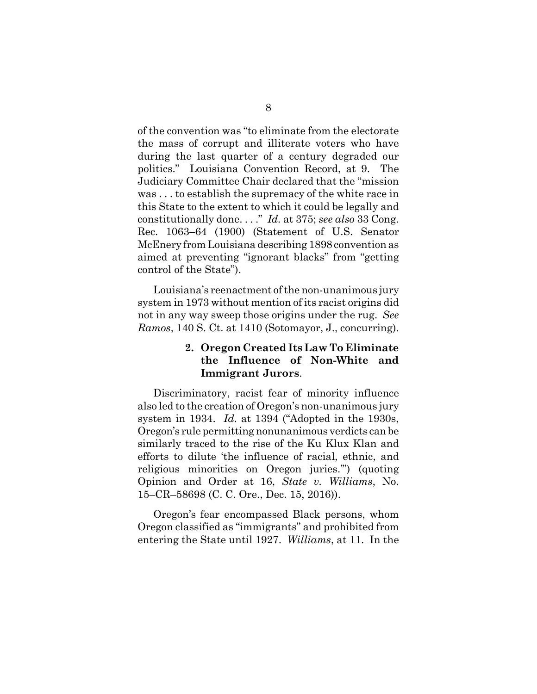of the convention was "to eliminate from the electorate the mass of corrupt and illiterate voters who have during the last quarter of a century degraded our politics." Louisiana Convention Record, at 9. The Judiciary Committee Chair declared that the "mission was . . . to establish the supremacy of the white race in this State to the extent to which it could be legally and constitutionally done. . . ." *Id.* at 375; *see also* 33 Cong. Rec. 1063–64 (1900) (Statement of U.S. Senator McEnery from Louisiana describing 1898 convention as aimed at preventing "ignorant blacks" from "getting control of the State").

Louisiana's reenactment of the non-unanimous jury system in 1973 without mention of its racist origins did not in any way sweep those origins under the rug. *See Ramos*, 140 S. Ct. at 1410 (Sotomayor, J., concurring).

### **2. Oregon Created Its Law To Eliminate the Influence of Non-White and Immigrant Jurors**.

Discriminatory, racist fear of minority influence also led to the creation of Oregon's non-unanimous jury system in 1934. *Id.* at 1394 ("Adopted in the 1930s, Oregon's rule permitting nonunanimous verdicts can be similarly traced to the rise of the Ku Klux Klan and efforts to dilute 'the influence of racial, ethnic, and religious minorities on Oregon juries.'") (quoting Opinion and Order at 16, *State v. Williams*, No. 15–CR–58698 (C. C. Ore., Dec. 15, 2016)).

Oregon's fear encompassed Black persons, whom Oregon classified as "immigrants" and prohibited from entering the State until 1927. *Williams*, at 11. In the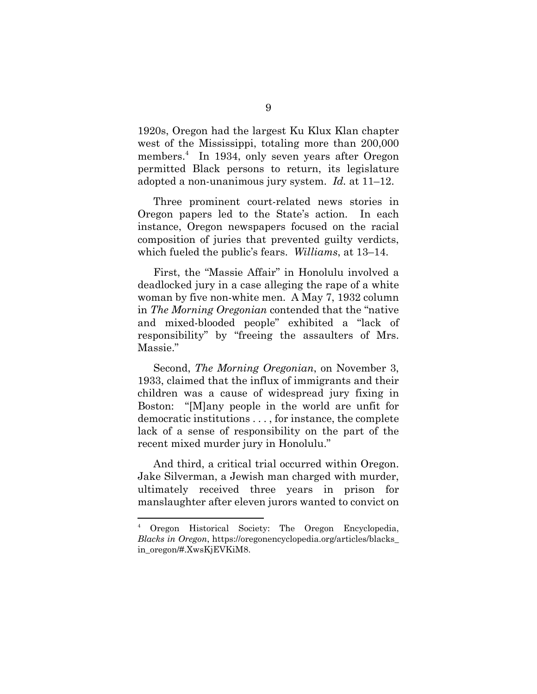1920s, Oregon had the largest Ku Klux Klan chapter west of the Mississippi, totaling more than 200,000 members.<sup>4</sup> In 1934, only seven years after Oregon permitted Black persons to return, its legislature adopted a non-unanimous jury system. *Id.* at 11–12.

Three prominent court-related news stories in Oregon papers led to the State's action. In each instance, Oregon newspapers focused on the racial composition of juries that prevented guilty verdicts, which fueled the public's fears. *Williams*, at 13–14.

First, the "Massie Affair" in Honolulu involved a deadlocked jury in a case alleging the rape of a white woman by five non-white men. A May 7, 1932 column in *The Morning Oregonian* contended that the "native and mixed-blooded people" exhibited a "lack of responsibility" by "freeing the assaulters of Mrs. Massie."

Second, *The Morning Oregonian*, on November 3, 1933, claimed that the influx of immigrants and their children was a cause of widespread jury fixing in Boston: "[M]any people in the world are unfit for democratic institutions . . . , for instance, the complete lack of a sense of responsibility on the part of the recent mixed murder jury in Honolulu."

And third, a critical trial occurred within Oregon. Jake Silverman, a Jewish man charged with murder, ultimately received three years in prison for manslaughter after eleven jurors wanted to convict on

<sup>4</sup> Oregon Historical Society: The Oregon Encyclopedia, *Blacks in Oregon*, https://oregonencyclopedia.org/articles/blacks\_ in\_oregon/#.XwsKjEVKiM8.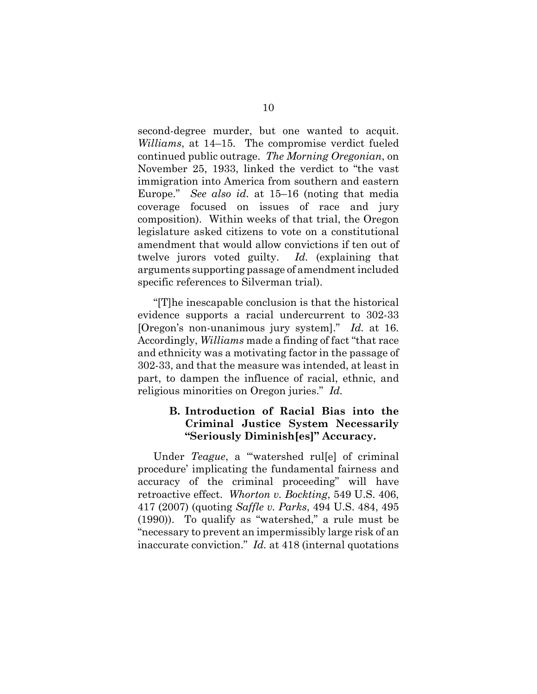second-degree murder, but one wanted to acquit. *Williams*, at 14–15. The compromise verdict fueled continued public outrage. *The Morning Oregonian*, on November 25, 1933, linked the verdict to "the vast immigration into America from southern and eastern Europe." *See also id.* at 15–16 (noting that media coverage focused on issues of race and jury composition). Within weeks of that trial, the Oregon legislature asked citizens to vote on a constitutional amendment that would allow convictions if ten out of twelve jurors voted guilty. *Id.* (explaining that arguments supporting passage of amendment included specific references to Silverman trial).

"[T]he inescapable conclusion is that the historical evidence supports a racial undercurrent to 302-33 [Oregon's non-unanimous jury system]." *Id.* at 16. Accordingly, *Williams* made a finding of fact "that race and ethnicity was a motivating factor in the passage of 302-33, and that the measure was intended, at least in part, to dampen the influence of racial, ethnic, and religious minorities on Oregon juries." *Id.*

### **B. Introduction of Racial Bias into the Criminal Justice System Necessarily "Seriously Diminish[es]" Accuracy.**

Under *Teague*, a "'watershed rul[e] of criminal procedure' implicating the fundamental fairness and accuracy of the criminal proceeding" will have retroactive effect. *Whorton v. Bockting*, 549 U.S. 406, 417 (2007) (quoting *Saffle v. Parks*, 494 U.S. 484, 495 (1990)). To qualify as "watershed," a rule must be "necessary to prevent an impermissibly large risk of an inaccurate conviction." *Id.* at 418 (internal quotations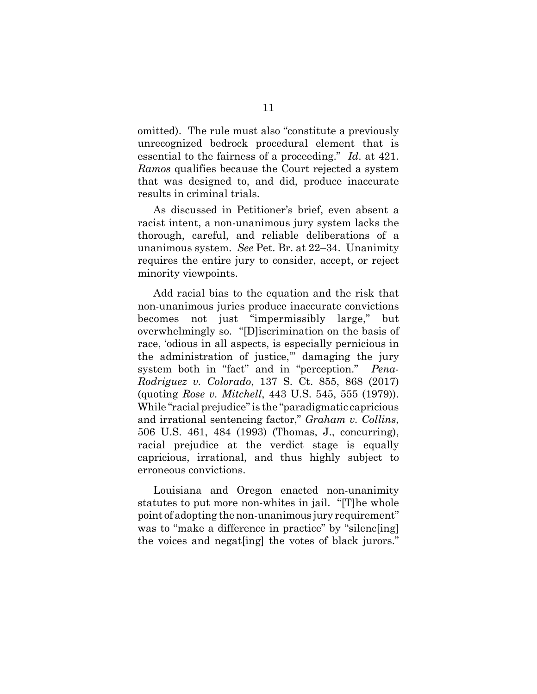omitted). The rule must also "constitute a previously unrecognized bedrock procedural element that is essential to the fairness of a proceeding." *Id*. at 421. *Ramos* qualifies because the Court rejected a system that was designed to, and did, produce inaccurate results in criminal trials.

As discussed in Petitioner's brief, even absent a racist intent, a non-unanimous jury system lacks the thorough, careful, and reliable deliberations of a unanimous system. *See* Pet. Br. at 22–34. Unanimity requires the entire jury to consider, accept, or reject minority viewpoints.

Add racial bias to the equation and the risk that non-unanimous juries produce inaccurate convictions becomes not just "impermissibly large," but overwhelmingly so. "[D]iscrimination on the basis of race, 'odious in all aspects, is especially pernicious in the administration of justice,'" damaging the jury system both in "fact" and in "perception." *Pena-Rodriguez v. Colorado*, 137 S. Ct. 855, 868 (2017) (quoting *Rose v. Mitchell*, 443 U.S. 545, 555 (1979)). While "racial prejudice" is the "paradigmatic capricious and irrational sentencing factor," *Graham v. Collins*, 506 U.S. 461, 484 (1993) (Thomas, J., concurring), racial prejudice at the verdict stage is equally capricious, irrational, and thus highly subject to erroneous convictions.

Louisiana and Oregon enacted non-unanimity statutes to put more non-whites in jail. "[T]he whole point of adopting the non-unanimous jury requirement" was to "make a difference in practice" by "silenc[ing] the voices and negat[ing] the votes of black jurors."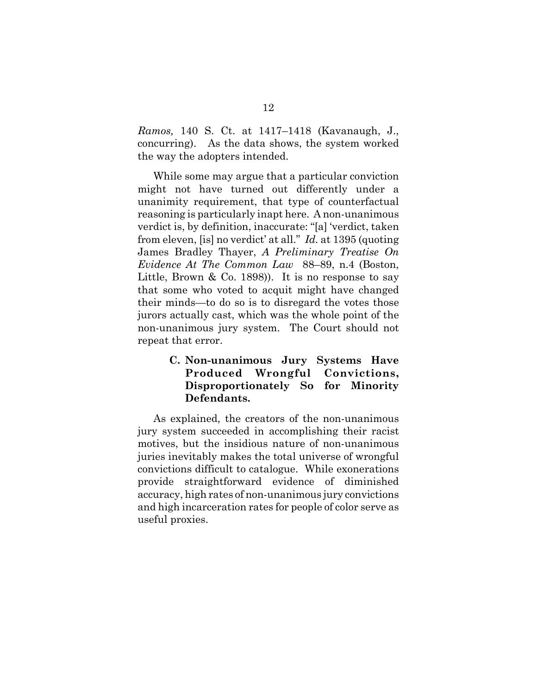*Ramos,* 140 S. Ct. at 1417–1418 (Kavanaugh, J., concurring). As the data shows, the system worked the way the adopters intended.

While some may argue that a particular conviction might not have turned out differently under a unanimity requirement, that type of counterfactual reasoning is particularly inapt here. A non-unanimous verdict is, by definition, inaccurate: "[a] 'verdict, taken from eleven, [is] no verdict' at all." *Id.* at 1395 (quoting James Bradley Thayer, *A Preliminary Treatise On Evidence At The Common Law* 88–89, n.4 (Boston, Little, Brown & Co. 1898). It is no response to say that some who voted to acquit might have changed their minds—to do so is to disregard the votes those jurors actually cast, which was the whole point of the non-unanimous jury system. The Court should not repeat that error.

## **C. Non-unanimous Jury Systems Have Produced Wrongful Convictions, Disproportionately So for Minority Defendants.**

As explained, the creators of the non-unanimous jury system succeeded in accomplishing their racist motives, but the insidious nature of non-unanimous juries inevitably makes the total universe of wrongful convictions difficult to catalogue. While exonerations provide straightforward evidence of diminished accuracy, high rates of non-unanimous jury convictions and high incarceration rates for people of color serve as useful proxies.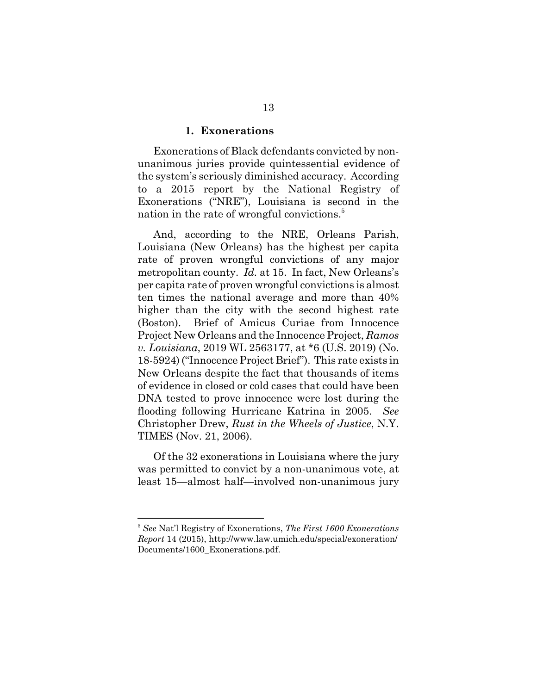#### **1. Exonerations**

Exonerations of Black defendants convicted by nonunanimous juries provide quintessential evidence of the system's seriously diminished accuracy. According to a 2015 report by the National Registry of Exonerations ("NRE"), Louisiana is second in the nation in the rate of wrongful convictions.<sup>5</sup>

And, according to the NRE, Orleans Parish, Louisiana (New Orleans) has the highest per capita rate of proven wrongful convictions of any major metropolitan county. *Id.* at 15. In fact, New Orleans's per capita rate of proven wrongful convictions is almost ten times the national average and more than 40% higher than the city with the second highest rate (Boston). Brief of Amicus Curiae from Innocence Project New Orleans and the Innocence Project, *Ramos v. Louisiana*, 2019 WL 2563177, at \*6 (U.S. 2019) (No. 18-5924) ("Innocence Project Brief"). This rate exists in New Orleans despite the fact that thousands of items of evidence in closed or cold cases that could have been DNA tested to prove innocence were lost during the flooding following Hurricane Katrina in 2005. *See* Christopher Drew, *Rust in the Wheels of Justice*, N.Y. TIMES (Nov. 21, 2006).

Of the 32 exonerations in Louisiana where the jury was permitted to convict by a non-unanimous vote, at least 15—almost half—involved non-unanimous jury

<sup>5</sup> *See* Nat'l Registry of Exonerations, *The First 1600 Exonerations Report* 14 (2015), http://www.law.umich.edu/special/exoneration/ Documents/1600\_Exonerations.pdf.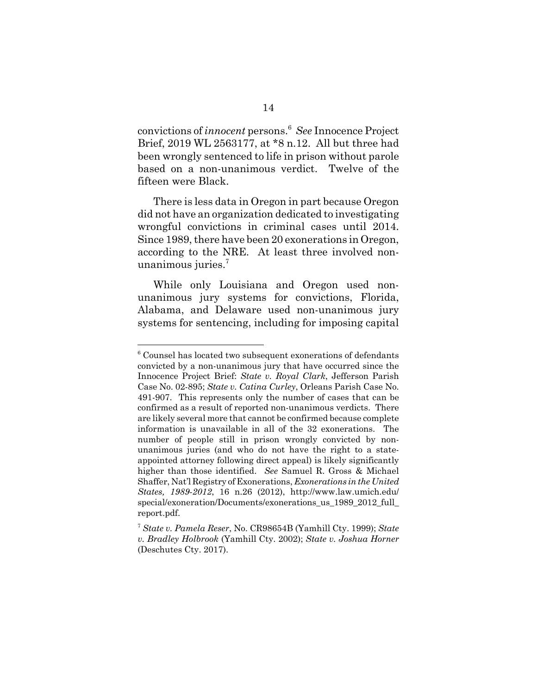convictions of *innocent* persons.<sup>6</sup> *See* Innocence Project Brief, 2019 WL 2563177, at \*8 n.12. All but three had been wrongly sentenced to life in prison without parole based on a non-unanimous verdict. Twelve of the fifteen were Black.

There is less data in Oregon in part because Oregon did not have an organization dedicated to investigating wrongful convictions in criminal cases until 2014. Since 1989, there have been 20 exonerations in Oregon, according to the NRE. At least three involved nonunanimous juries.<sup>7</sup>

While only Louisiana and Oregon used nonunanimous jury systems for convictions, Florida, Alabama, and Delaware used non-unanimous jury systems for sentencing, including for imposing capital

<sup>&</sup>lt;sup>6</sup> Counsel has located two subsequent exonerations of defendants convicted by a non-unanimous jury that have occurred since the Innocence Project Brief: *State v. Royal Clark*, Jefferson Parish Case No. 02-895; *State v. Catina Curley*, Orleans Parish Case No. 491-907. This represents only the number of cases that can be confirmed as a result of reported non-unanimous verdicts. There are likely several more that cannot be confirmed because complete information is unavailable in all of the 32 exonerations. The number of people still in prison wrongly convicted by nonunanimous juries (and who do not have the right to a stateappointed attorney following direct appeal) is likely significantly higher than those identified. *See* Samuel R. Gross & Michael Shaffer, Nat'l Registry of Exonerations, *Exonerations in the United States, 1989-2012*, 16 n.26 (2012), http://www.law.umich.edu/ special/exoneration/Documents/exonerations us 1989 2012 full report.pdf.

<sup>7</sup> *State v. Pamela Reser*, No. CR98654B (Yamhill Cty. 1999); *State v. Bradley Holbrook* (Yamhill Cty. 2002); *State v. Joshua Horner* (Deschutes Cty. 2017).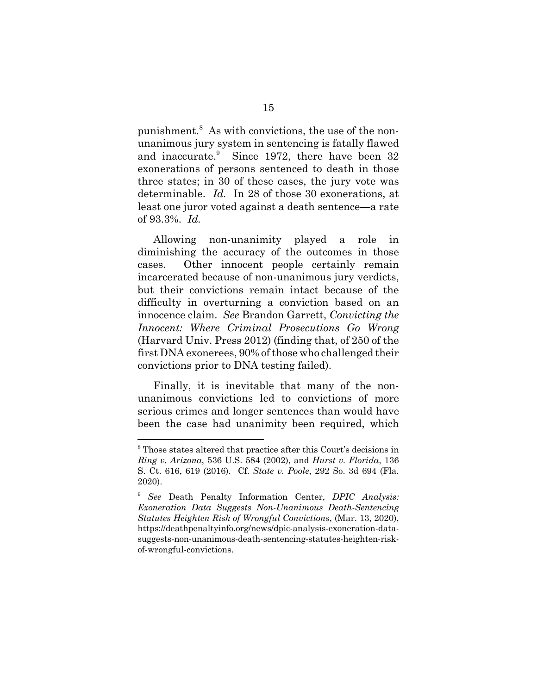punishment.<sup>8</sup> As with convictions, the use of the nonunanimous jury system in sentencing is fatally flawed and inaccurate.<sup>9</sup> Since 1972, there have been 32 exonerations of persons sentenced to death in those three states; in 30 of these cases, the jury vote was determinable. *Id.* In 28 of those 30 exonerations, at least one juror voted against a death sentence—a rate of 93.3%. *Id.*

Allowing non-unanimity played a role in diminishing the accuracy of the outcomes in those cases. Other innocent people certainly remain incarcerated because of non-unanimous jury verdicts, but their convictions remain intact because of the difficulty in overturning a conviction based on an innocence claim. *See* Brandon Garrett, *Convicting the Innocent: Where Criminal Prosecutions Go Wrong* (Harvard Univ. Press 2012) (finding that, of 250 of the first DNA exonerees, 90% of those who challenged their convictions prior to DNA testing failed).

Finally, it is inevitable that many of the nonunanimous convictions led to convictions of more serious crimes and longer sentences than would have been the case had unanimity been required, which

<sup>8</sup> Those states altered that practice after this Court's decisions in *Ring v. Arizona*, 536 U.S. 584 (2002), and *Hurst v. Florida*, 136 S. Ct. 616, 619 (2016). Cf. *State v. Poole*, 292 So. 3d 694 (Fla. 2020).

<sup>9</sup> *See* Death Penalty Information Center, *DPIC Analysis: Exoneration Data Suggests Non-Unanimous Death-Sentencing Statutes Heighten Risk of Wrongful Convictions*, (Mar. 13, 2020), https://deathpenaltyinfo.org/news/dpic-analysis-exoneration-datasuggests-non-unanimous-death-sentencing-statutes-heighten-riskof-wrongful-convictions.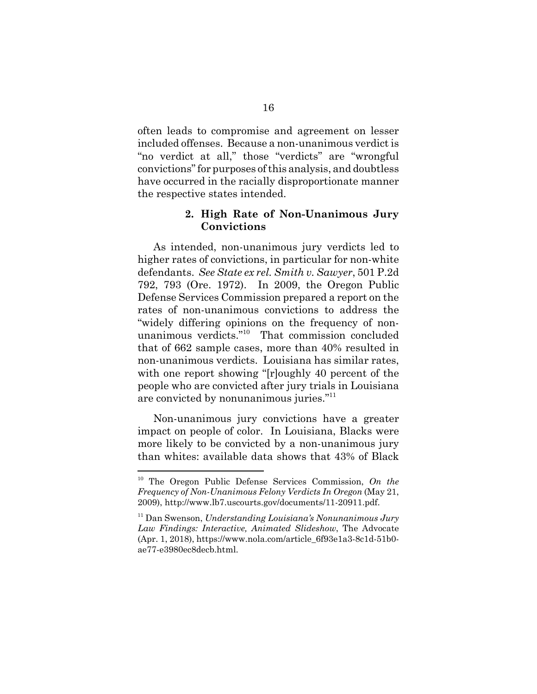often leads to compromise and agreement on lesser included offenses. Because a non-unanimous verdict is "no verdict at all," those "verdicts" are "wrongful convictions" for purposes of this analysis, and doubtless have occurred in the racially disproportionate manner the respective states intended.

#### **2. High Rate of Non-Unanimous Jury Convictions**

As intended, non-unanimous jury verdicts led to higher rates of convictions, in particular for non-white defendants. *See State ex rel. Smith v. Sawyer*, 501 P.2d 792, 793 (Ore. 1972). In 2009, the Oregon Public Defense Services Commission prepared a report on the rates of non-unanimous convictions to address the "widely differing opinions on the frequency of nonunanimous verdicts."10 That commission concluded that of 662 sample cases, more than 40% resulted in non-unanimous verdicts. Louisiana has similar rates, with one report showing "[r]oughly 40 percent of the people who are convicted after jury trials in Louisiana are convicted by nonunanimous juries."<sup>11</sup>

Non-unanimous jury convictions have a greater impact on people of color. In Louisiana, Blacks were more likely to be convicted by a non-unanimous jury than whites: available data shows that 43% of Black

<sup>10</sup> The Oregon Public Defense Services Commission, *On the Frequency of Non-Unanimous Felony Verdicts In Oregon* (May 21, 2009), http://www.lb7.uscourts.gov/documents/11-20911.pdf.

<sup>11</sup> Dan Swenson, *Understanding Louisiana's Nonunanimous Jury Law Findings: Interactive, Animated Slideshow*, The Advocate (Apr. 1, 2018), https://www.nola.com/article\_6f93e1a3-8c1d-51b0 ae77-e3980ec8decb.html.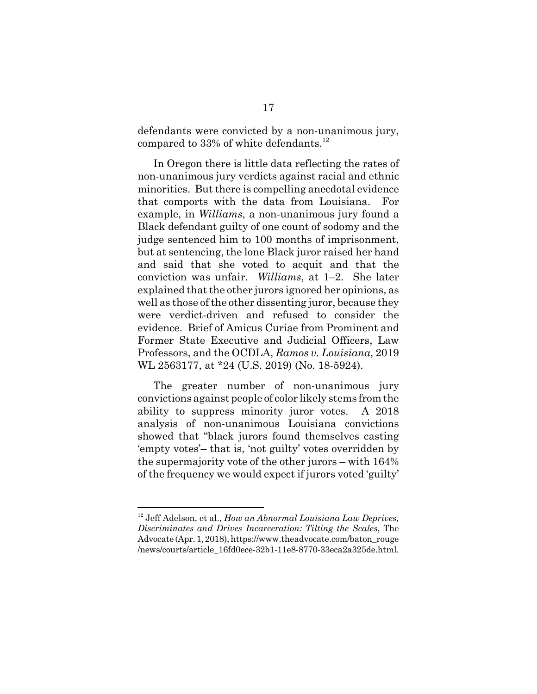defendants were convicted by a non-unanimous jury, compared to  $33\%$  of white defendants.<sup>12</sup>

In Oregon there is little data reflecting the rates of non-unanimous jury verdicts against racial and ethnic minorities. But there is compelling anecdotal evidence that comports with the data from Louisiana. For example, in *Williams*, a non-unanimous jury found a Black defendant guilty of one count of sodomy and the judge sentenced him to 100 months of imprisonment, but at sentencing, the lone Black juror raised her hand and said that she voted to acquit and that the conviction was unfair. *Williams*, at 1–2. She later explained that the other jurors ignored her opinions, as well as those of the other dissenting juror, because they were verdict-driven and refused to consider the evidence. Brief of Amicus Curiae from Prominent and Former State Executive and Judicial Officers, Law Professors, and the OCDLA, *Ramos v. Louisiana*, 2019 WL 2563177, at \*24 (U.S. 2019) (No. 18-5924).

The greater number of non-unanimous jury convictions against people of color likely stems from the ability to suppress minority juror votes. A 2018 analysis of non-unanimous Louisiana convictions showed that "black jurors found themselves casting 'empty votes'– that is, 'not guilty' votes overridden by the supermajority vote of the other jurors – with 164% of the frequency we would expect if jurors voted 'guilty'

<sup>12</sup> Jeff Adelson, et al., *How an Abnormal Louisiana Law Deprives, Discriminates and Drives Incarceration: Tilting the Scales*, The Advocate (Apr. 1, 2018), https://www.theadvocate.com/baton\_rouge /news/courts/article\_16fd0ece-32b1-11e8-8770-33eca2a325de.html.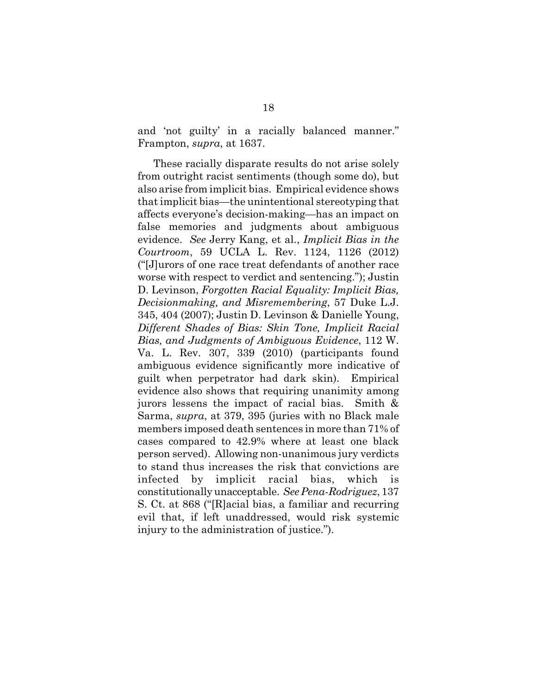and 'not guilty' in a racially balanced manner." Frampton, *supra*, at 1637.

These racially disparate results do not arise solely from outright racist sentiments (though some do), but also arise from implicit bias. Empirical evidence shows that implicit bias—the unintentional stereotyping that affects everyone's decision-making—has an impact on false memories and judgments about ambiguous evidence. *See* Jerry Kang, et al., *Implicit Bias in the Courtroom*, 59 UCLA L. Rev. 1124, 1126 (2012) ("[J]urors of one race treat defendants of another race worse with respect to verdict and sentencing."); Justin D. Levinson, *Forgotten Racial Equality: Implicit Bias, Decisionmaking, and Misremembering*, 57 Duke L.J. 345, 404 (2007); Justin D. Levinson & Danielle Young, *Different Shades of Bias: Skin Tone, Implicit Racial Bias, and Judgments of Ambiguous Evidence*, 112 W. Va. L. Rev. 307, 339 (2010) (participants found ambiguous evidence significantly more indicative of guilt when perpetrator had dark skin). Empirical evidence also shows that requiring unanimity among jurors lessens the impact of racial bias. Smith & Sarma, *supra*, at 379, 395 (juries with no Black male members imposed death sentences in more than 71% of cases compared to 42.9% where at least one black person served). Allowing non-unanimous jury verdicts to stand thus increases the risk that convictions are infected by implicit racial bias, which is constitutionally unacceptable. *See Pena-Rodriguez*, 137 S. Ct. at 868 ("[R]acial bias, a familiar and recurring evil that, if left unaddressed, would risk systemic injury to the administration of justice.").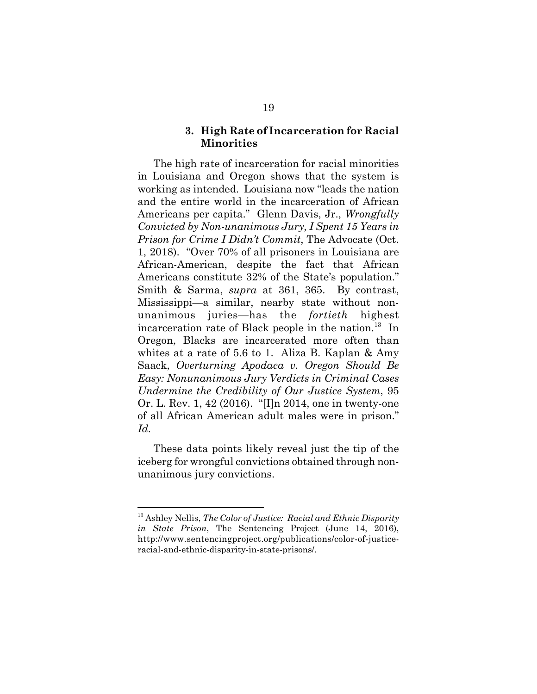#### **3. High Rate of Incarceration for Racial Minorities**

The high rate of incarceration for racial minorities in Louisiana and Oregon shows that the system is working as intended. Louisiana now "leads the nation and the entire world in the incarceration of African Americans per capita." Glenn Davis, Jr., *Wrongfully Convicted by Non-unanimous Jury, I Spent 15 Years in Prison for Crime I Didn't Commit*, The Advocate (Oct. 1, 2018). "Over 70% of all prisoners in Louisiana are African-American, despite the fact that African Americans constitute 32% of the State's population." Smith & Sarma, *supra* at 361, 365. By contrast, Mississippi—a similar, nearby state without nonunanimous juries—has the *fortieth* highest incarceration rate of Black people in the nation.<sup>13</sup> In Oregon, Blacks are incarcerated more often than whites at a rate of 5.6 to 1. Aliza B. Kaplan & Amy Saack, *Overturning Apodaca v. Oregon Should Be Easy: Nonunanimous Jury Verdicts in Criminal Cases Undermine the Credibility of Our Justice System*, 95 Or. L. Rev. 1, 42 (2016). "[I]n 2014, one in twenty-one of all African American adult males were in prison." *Id.*

These data points likely reveal just the tip of the iceberg for wrongful convictions obtained through nonunanimous jury convictions.

<sup>13</sup> Ashley Nellis, *The Color of Justice: Racial and Ethnic Disparity in State Prison*, The Sentencing Project (June 14, 2016), http://www.sentencingproject.org/publications/color-of-justiceracial-and-ethnic-disparity-in-state-prisons/.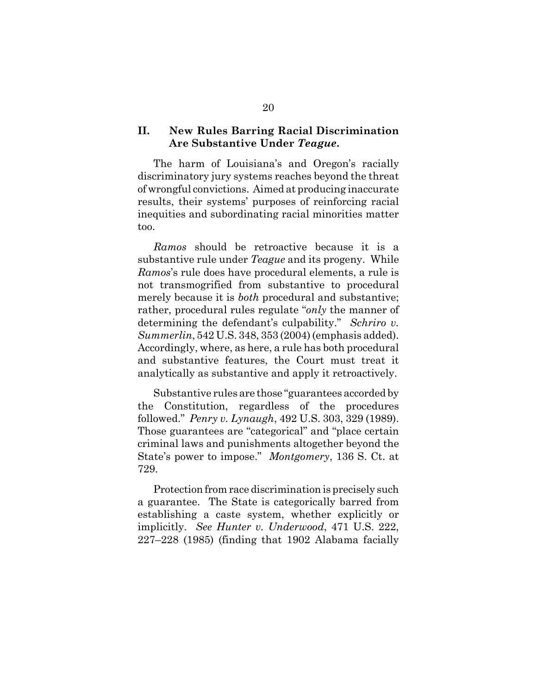#### **II. New Rules Barring Racial Discrimination Are Substantive Under** *Teague***.**

The harm of Louisiana's and Oregon's racially discriminatory jury systems reaches beyond the threat of wrongful convictions. Aimed at producing inaccurate results, their systems' purposes of reinforcing racial inequities and subordinating racial minorities matter too.

*Ramos* should be retroactive because it is a substantive rule under *Teague* and its progeny. While *Ramos*'s rule does have procedural elements, a rule is not transmogrified from substantive to procedural merely because it is *both* procedural and substantive; rather, procedural rules regulate "*only* the manner of determining the defendant's culpability." *Schriro v. Summerlin*, 542 U.S. 348, 353 (2004) (emphasis added). Accordingly, where, as here, a rule has both procedural and substantive features, the Court must treat it analytically as substantive and apply it retroactively.

Substantive rules are those "guarantees accorded by the Constitution, regardless of the procedures followed." *Penry v. Lynaugh*, 492 U.S. 303, 329 (1989). Those guarantees are "categorical" and "place certain criminal laws and punishments altogether beyond the State's power to impose." *Montgomery*, 136 S. Ct. at 729.

Protection from race discrimination is precisely such a guarantee. The State is categorically barred from establishing a caste system, whether explicitly or implicitly. *See Hunter v. Underwood*, 471 U.S. 222, 227–228 (1985) (finding that 1902 Alabama facially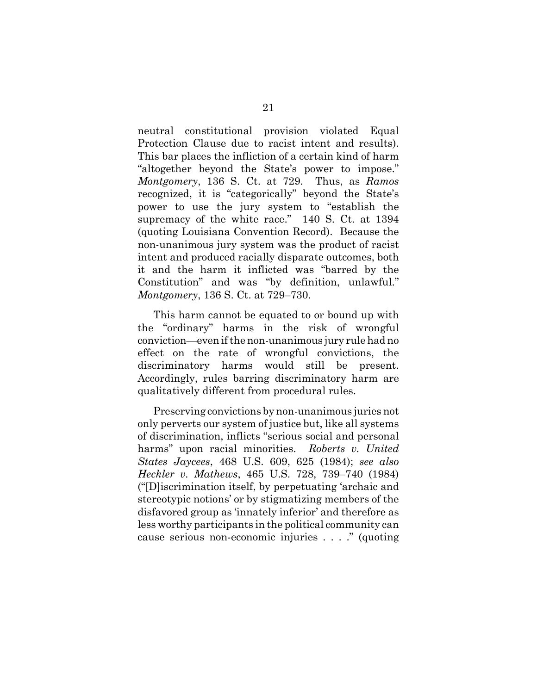neutral constitutional provision violated Equal Protection Clause due to racist intent and results). This bar places the infliction of a certain kind of harm "altogether beyond the State's power to impose." *Montgomery*, 136 S. Ct. at 729. Thus, as *Ramos* recognized, it is "categorically" beyond the State's power to use the jury system to "establish the supremacy of the white race." 140 S. Ct. at 1394 (quoting Louisiana Convention Record). Because the non-unanimous jury system was the product of racist intent and produced racially disparate outcomes, both it and the harm it inflicted was "barred by the Constitution" and was "by definition, unlawful." *Montgomery*, 136 S. Ct. at 729–730.

This harm cannot be equated to or bound up with the "ordinary" harms in the risk of wrongful conviction—even if the non-unanimous jury rule had no effect on the rate of wrongful convictions, the discriminatory harms would still be present. Accordingly, rules barring discriminatory harm are qualitatively different from procedural rules.

Preserving convictions by non-unanimous juries not only perverts our system of justice but, like all systems of discrimination, inflicts "serious social and personal harms" upon racial minorities. *Roberts v. United States Jaycees*, 468 U.S. 609, 625 (1984); *see also Heckler v. Mathews*, 465 U.S. 728, 739–740 (1984) ("[D]iscrimination itself, by perpetuating 'archaic and stereotypic notions' or by stigmatizing members of the disfavored group as 'innately inferior' and therefore as less worthy participants in the political community can cause serious non-economic injuries . . . ." (quoting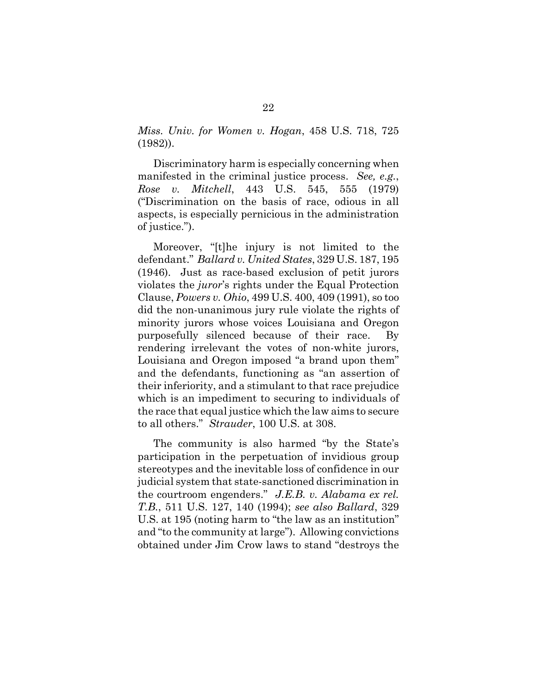*Miss. Univ. for Women v. Hogan*, 458 U.S. 718, 725 (1982)).

Discriminatory harm is especially concerning when manifested in the criminal justice process. *See, e.g.*, *Rose v. Mitchell*, 443 U.S. 545, 555 (1979) ("Discrimination on the basis of race, odious in all aspects, is especially pernicious in the administration of justice.").

Moreover, "[t]he injury is not limited to the defendant." *Ballard v. United States*, 329 U.S. 187, 195 (1946). Just as race-based exclusion of petit jurors violates the *juror*'s rights under the Equal Protection Clause, *Powers v. Ohio*, 499 U.S. 400, 409 (1991), so too did the non-unanimous jury rule violate the rights of minority jurors whose voices Louisiana and Oregon purposefully silenced because of their race. By rendering irrelevant the votes of non-white jurors, Louisiana and Oregon imposed "a brand upon them" and the defendants, functioning as "an assertion of their inferiority, and a stimulant to that race prejudice which is an impediment to securing to individuals of the race that equal justice which the law aims to secure to all others." *Strauder*, 100 U.S. at 308.

The community is also harmed "by the State's participation in the perpetuation of invidious group stereotypes and the inevitable loss of confidence in our judicial system that state-sanctioned discrimination in the courtroom engenders." *J.E.B. v. Alabama ex rel. T.B.*, 511 U.S. 127, 140 (1994); *see also Ballard*, 329 U.S. at 195 (noting harm to "the law as an institution" and "to the community at large"). Allowing convictions obtained under Jim Crow laws to stand "destroys the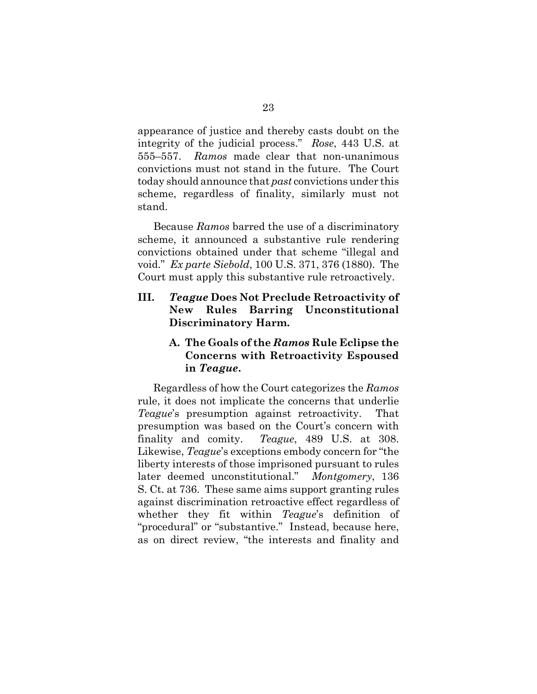appearance of justice and thereby casts doubt on the integrity of the judicial process." *Rose*, 443 U.S. at 555–557. *Ramos* made clear that non-unanimous convictions must not stand in the future. The Court today should announce that *past* convictions under this scheme, regardless of finality, similarly must not stand.

Because *Ramos* barred the use of a discriminatory scheme, it announced a substantive rule rendering convictions obtained under that scheme "illegal and void." *Ex parte Siebold*, 100 U.S. 371, 376 (1880). The Court must apply this substantive rule retroactively.

### **III.** *Teague* **Does Not Preclude Retroactivity of New Rules Barring Unconstitutional Discriminatory Harm.**

### **A. The Goals of the** *Ramos* **Rule Eclipse the Concerns with Retroactivity Espoused in** *Teague***.**

Regardless of how the Court categorizes the *Ramos* rule, it does not implicate the concerns that underlie *Teague*'s presumption against retroactivity. That presumption was based on the Court's concern with finality and comity. *Teague*, 489 U.S. at 308. Likewise, *Teague*'s exceptions embody concern for "the liberty interests of those imprisoned pursuant to rules later deemed unconstitutional." *Montgomery*, 136 S. Ct. at 736. These same aims support granting rules against discrimination retroactive effect regardless of whether they fit within *Teague*'s definition of "procedural" or "substantive." Instead, because here, as on direct review, "the interests and finality and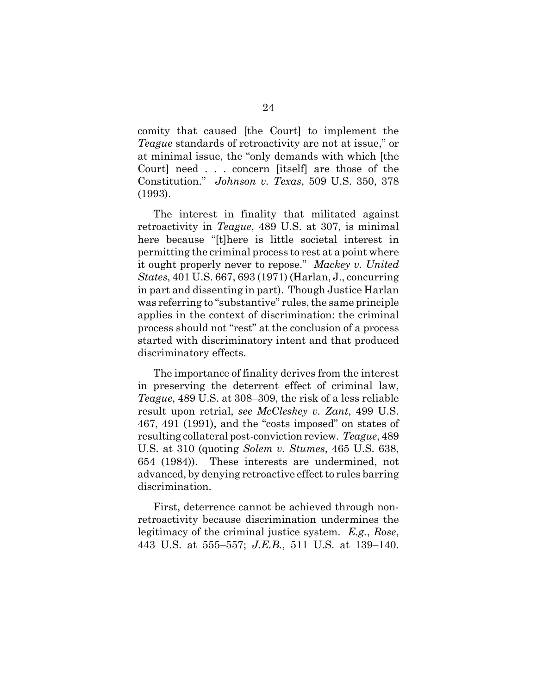comity that caused [the Court] to implement the *Teague* standards of retroactivity are not at issue," or at minimal issue, the "only demands with which [the Court] need . . . concern [itself] are those of the Constitution." *Johnson v. Texas*, 509 U.S. 350, 378 (1993).

The interest in finality that militated against retroactivity in *Teague*, 489 U.S. at 307, is minimal here because "[t]here is little societal interest in permitting the criminal process to rest at a point where it ought properly never to repose." *Mackey v. United States*, 401 U.S. 667, 693 (1971) (Harlan, J., concurring in part and dissenting in part). Though Justice Harlan was referring to "substantive" rules, the same principle applies in the context of discrimination: the criminal process should not "rest" at the conclusion of a process started with discriminatory intent and that produced discriminatory effects.

The importance of finality derives from the interest in preserving the deterrent effect of criminal law, *Teague*, 489 U.S. at 308–309, the risk of a less reliable result upon retrial, *see McCleskey v. Zant*, 499 U.S. 467, 491 (1991), and the "costs imposed" on states of resulting collateral post-conviction review. *Teague*, 489 U.S. at 310 (quoting *Solem v. Stumes*, 465 U.S. 638, 654 (1984)). These interests are undermined, not advanced, by denying retroactive effect to rules barring discrimination.

First, deterrence cannot be achieved through nonretroactivity because discrimination undermines the legitimacy of the criminal justice system. *E.g.*, *Rose*, 443 U.S. at 555–557; *J.E.B.*, 511 U.S. at 139–140.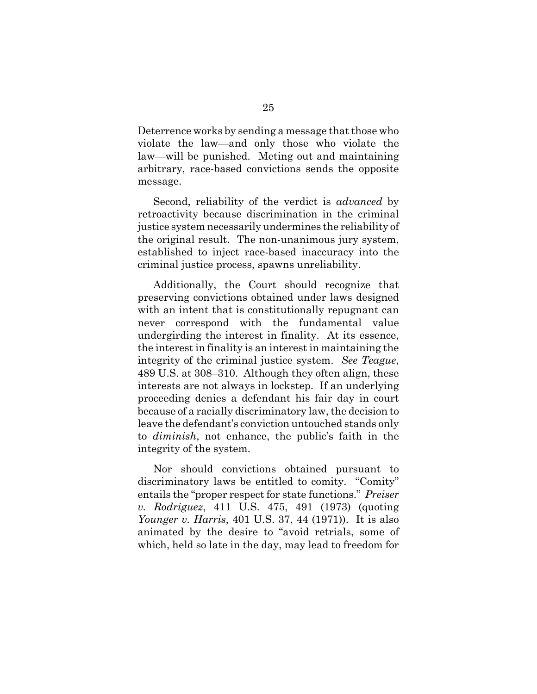Deterrence works by sending a message that those who violate the law—and only those who violate the law—will be punished. Meting out and maintaining arbitrary, race-based convictions sends the opposite message.

Second, reliability of the verdict is *advanced* by retroactivity because discrimination in the criminal justice system necessarily undermines the reliability of the original result. The non-unanimous jury system, established to inject race-based inaccuracy into the criminal justice process, spawns unreliability.

Additionally, the Court should recognize that preserving convictions obtained under laws designed with an intent that is constitutionally repugnant can never correspond with the fundamental value undergirding the interest in finality. At its essence, the interest in finality is an interest in maintaining the integrity of the criminal justice system. *See Teague*, 489 U.S. at 308–310. Although they often align, these interests are not always in lockstep. If an underlying proceeding denies a defendant his fair day in court because of a racially discriminatory law, the decision to leave the defendant's conviction untouched stands only to *diminish*, not enhance, the public's faith in the integrity of the system.

Nor should convictions obtained pursuant to discriminatory laws be entitled to comity. "Comity" entails the "proper respect for state functions." *Preiser v. Rodriguez*, 411 U.S. 475, 491 (1973) (quoting *Younger v. Harris*, 401 U.S. 37, 44 (1971)). It is also animated by the desire to "avoid retrials, some of which, held so late in the day, may lead to freedom for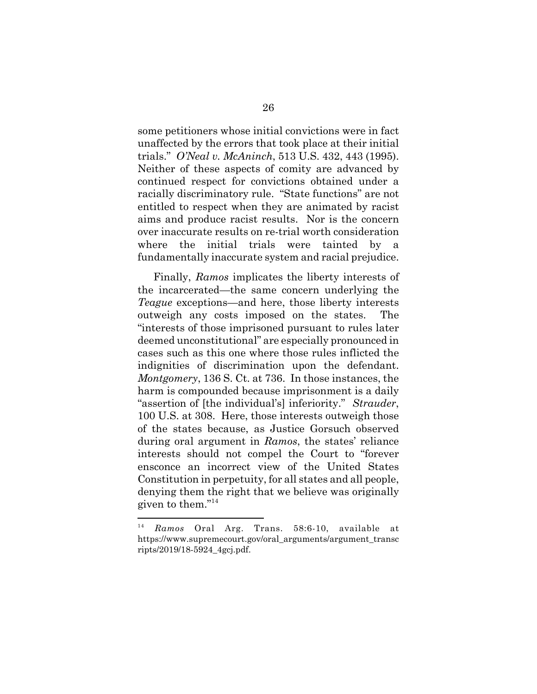some petitioners whose initial convictions were in fact unaffected by the errors that took place at their initial trials." *O'Neal v. McAninch*, 513 U.S. 432, 443 (1995). Neither of these aspects of comity are advanced by continued respect for convictions obtained under a racially discriminatory rule. "State functions" are not entitled to respect when they are animated by racist aims and produce racist results.Nor is the concern over inaccurate results on re-trial worth consideration where the initial trials were tainted by fundamentally inaccurate system and racial prejudice.

Finally, *Ramos* implicates the liberty interests of the incarcerated—the same concern underlying the *Teague* exceptions—and here, those liberty interests outweigh any costs imposed on the states. The "interests of those imprisoned pursuant to rules later deemed unconstitutional" are especially pronounced in cases such as this one where those rules inflicted the indignities of discrimination upon the defendant. *Montgomery*, 136 S. Ct. at 736. In those instances, the harm is compounded because imprisonment is a daily "assertion of [the individual's] inferiority." *Strauder*, 100 U.S. at 308. Here, those interests outweigh those of the states because, as Justice Gorsuch observed during oral argument in *Ramos*, the states' reliance interests should not compel the Court to "forever ensconce an incorrect view of the United States Constitution in perpetuity, for all states and all people, denying them the right that we believe was originally given to them."14

<sup>14</sup> *Ramos* Oral Arg. Trans. 58:6-10, available at https://www.supremecourt.gov/oral\_arguments/argument\_transc ripts/2019/18-5924\_4gcj.pdf.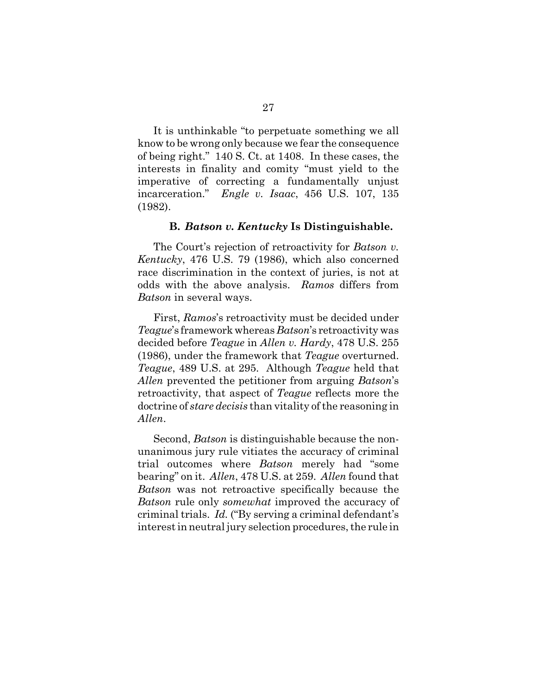It is unthinkable "to perpetuate something we all know to be wrong only because we fear the consequence of being right." 140 S. Ct. at 1408. In these cases, the interests in finality and comity "must yield to the imperative of correcting a fundamentally unjust incarceration." *Engle v. Isaac*, 456 U.S. 107, 135 (1982).

#### **B.** *Batson v. Kentucky* **Is Distinguishable.**

The Court's rejection of retroactivity for *Batson v. Kentucky*, 476 U.S. 79 (1986), which also concerned race discrimination in the context of juries, is not at odds with the above analysis. *Ramos* differs from *Batson* in several ways.

First, *Ramos*'s retroactivity must be decided under *Teague*'s framework whereas *Batson*'s retroactivity was decided before *Teague* in *Allen v. Hardy*, 478 U.S. 255 (1986), under the framework that *Teague* overturned. *Teague*, 489 U.S. at 295. Although *Teague* held that *Allen* prevented the petitioner from arguing *Batson*'s retroactivity, that aspect of *Teague* reflects more the doctrine of *stare decisis* than vitality of the reasoning in *Allen*.

Second, *Batson* is distinguishable because the nonunanimous jury rule vitiates the accuracy of criminal trial outcomes where *Batson* merely had "some bearing" on it. *Allen*, 478 U.S. at 259. *Allen* found that *Batson* was not retroactive specifically because the *Batson* rule only *somewhat* improved the accuracy of criminal trials. *Id.* ("By serving a criminal defendant's interest in neutral jury selection procedures, the rule in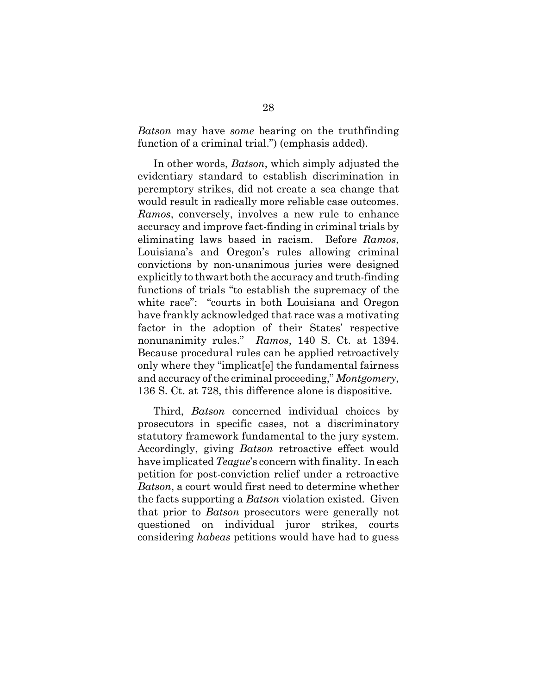*Batson* may have *some* bearing on the truthfinding function of a criminal trial.") (emphasis added).

In other words, *Batson*, which simply adjusted the evidentiary standard to establish discrimination in peremptory strikes, did not create a sea change that would result in radically more reliable case outcomes. *Ramos*, conversely, involves a new rule to enhance accuracy and improve fact-finding in criminal trials by eliminating laws based in racism. Before *Ramos*, Louisiana's and Oregon's rules allowing criminal convictions by non-unanimous juries were designed explicitly to thwart both the accuracy and truth-finding functions of trials "to establish the supremacy of the white race": "courts in both Louisiana and Oregon have frankly acknowledged that race was a motivating factor in the adoption of their States' respective nonunanimity rules." *Ramos*, 140 S. Ct. at 1394. Because procedural rules can be applied retroactively only where they "implicat[e] the fundamental fairness and accuracy of the criminal proceeding," *Montgomery*, 136 S. Ct. at 728, this difference alone is dispositive.

Third, *Batson* concerned individual choices by prosecutors in specific cases, not a discriminatory statutory framework fundamental to the jury system. Accordingly, giving *Batson* retroactive effect would have implicated *Teague*'s concern with finality. In each petition for post-conviction relief under a retroactive *Batson*, a court would first need to determine whether the facts supporting a *Batson* violation existed. Given that prior to *Batson* prosecutors were generally not questioned on individual juror strikes, courts considering *habeas* petitions would have had to guess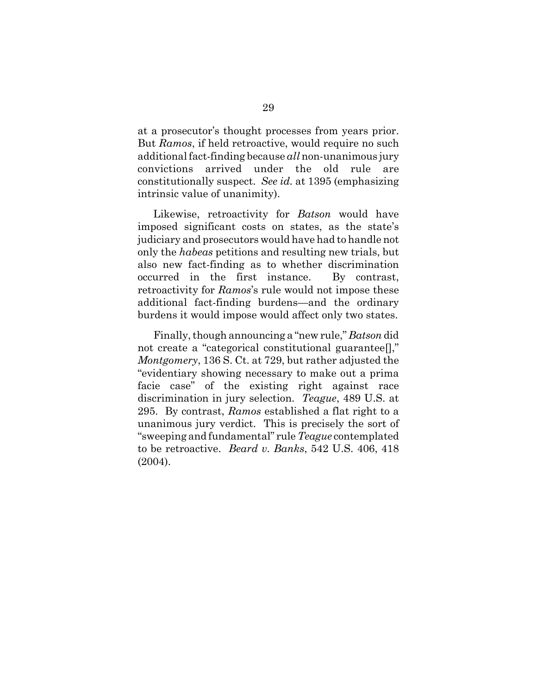at a prosecutor's thought processes from years prior. But *Ramos*, if held retroactive, would require no such additional fact-finding because *all* non-unanimous jury convictions arrived under the old rule are constitutionally suspect. *See id.* at 1395 (emphasizing intrinsic value of unanimity).

Likewise, retroactivity for *Batson* would have imposed significant costs on states, as the state's judiciary and prosecutors would have had to handle not only the *habeas* petitions and resulting new trials, but also new fact-finding as to whether discrimination occurred in the first instance. By contrast, retroactivity for *Ramos*'s rule would not impose these additional fact-finding burdens—and the ordinary burdens it would impose would affect only two states.

Finally, though announcing a "new rule," *Batson* did not create a "categorical constitutional guarantee[]," *Montgomery*, 136 S. Ct. at 729, but rather adjusted the "evidentiary showing necessary to make out a prima facie case" of the existing right against race discrimination in jury selection. *Teague*, 489 U.S. at 295. By contrast, *Ramos* established a flat right to a unanimous jury verdict. This is precisely the sort of "sweeping and fundamental" rule *Teague* contemplated to be retroactive. *Beard v. Banks*, 542 U.S. 406, 418 (2004).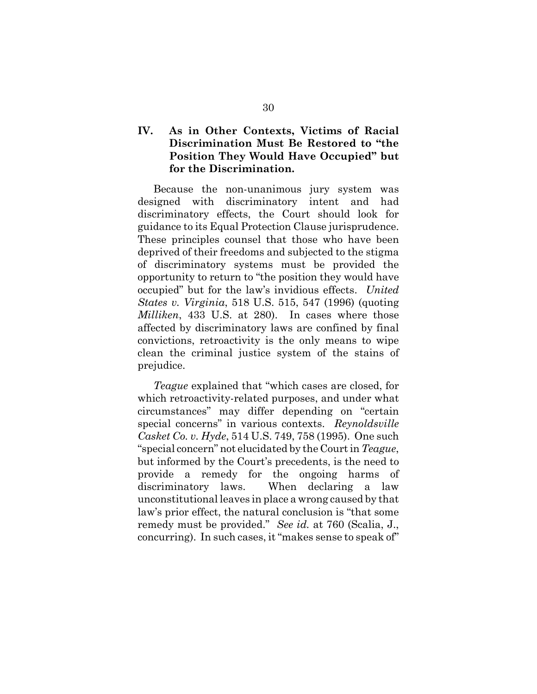### **IV. As in Other Contexts, Victims of Racial Discrimination Must Be Restored to "the Position They Would Have Occupied" but for the Discrimination.**

Because the non-unanimous jury system was designed with discriminatory intent and had discriminatory effects, the Court should look for guidance to its Equal Protection Clause jurisprudence. These principles counsel that those who have been deprived of their freedoms and subjected to the stigma of discriminatory systems must be provided the opportunity to return to "the position they would have occupied" but for the law's invidious effects. *United States v. Virginia*, 518 U.S. 515, 547 (1996) (quoting *Milliken*, 433 U.S. at 280). In cases where those affected by discriminatory laws are confined by final convictions, retroactivity is the only means to wipe clean the criminal justice system of the stains of prejudice.

*Teague* explained that "which cases are closed, for which retroactivity-related purposes, and under what circumstances" may differ depending on "certain special concerns" in various contexts. *Reynoldsville Casket Co. v. Hyde*, 514 U.S. 749, 758 (1995).One such "special concern" not elucidated by the Court in *Teague*, but informed by the Court's precedents, is the need to provide a remedy for the ongoing harms of discriminatory laws. When declaring a law unconstitutional leaves in place a wrong caused by that law's prior effect, the natural conclusion is "that some remedy must be provided." *See id.* at 760 (Scalia, J., concurring). In such cases, it "makes sense to speak of"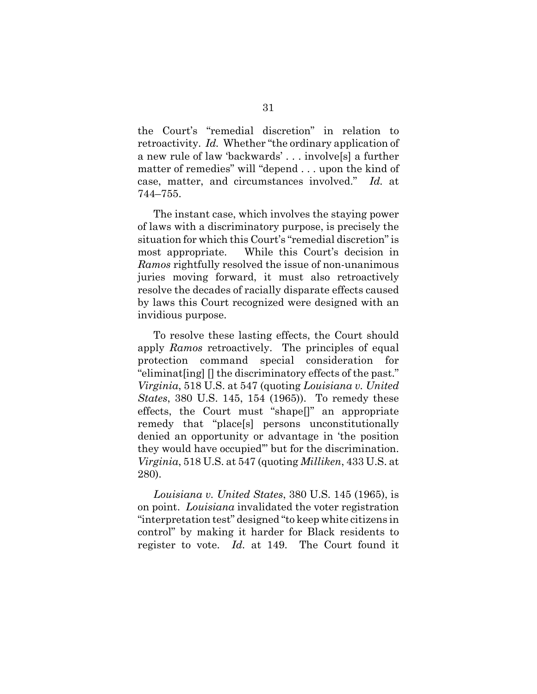the Court's "remedial discretion" in relation to retroactivity. *Id.* Whether "the ordinary application of a new rule of law 'backwards' . . . involve[s] a further matter of remedies" will "depend . . . upon the kind of case, matter, and circumstances involved." *Id.* at 744–755.

The instant case, which involves the staying power of laws with a discriminatory purpose, is precisely the situation for which this Court's "remedial discretion" is most appropriate. While this Court's decision in *Ramos* rightfully resolved the issue of non-unanimous juries moving forward, it must also retroactively resolve the decades of racially disparate effects caused by laws this Court recognized were designed with an invidious purpose.

To resolve these lasting effects, the Court should apply *Ramos* retroactively. The principles of equal protection command special consideration for "eliminat[ing] [] the discriminatory effects of the past." *Virginia*, 518 U.S. at 547 (quoting *Louisiana v. United States*, 380 U.S. 145, 154 (1965)). To remedy these effects, the Court must "shape[]" an appropriate remedy that "place[s] persons unconstitutionally denied an opportunity or advantage in 'the position they would have occupied'" but for the discrimination. *Virginia*, 518 U.S. at 547 (quoting *Milliken*, 433 U.S. at 280).

*Louisiana v. United States*, 380 U.S. 145 (1965), is on point. *Louisiana* invalidated the voter registration "interpretation test" designed "to keep white citizens in control" by making it harder for Black residents to register to vote. *Id.* at 149. The Court found it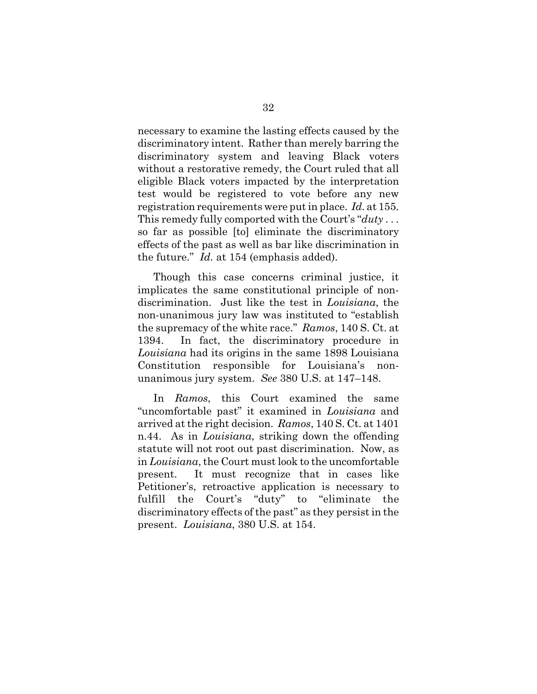necessary to examine the lasting effects caused by the discriminatory intent. Rather than merely barring the discriminatory system and leaving Black voters without a restorative remedy, the Court ruled that all eligible Black voters impacted by the interpretation test would be registered to vote before any new registration requirements were put in place. *Id.* at 155. This remedy fully comported with the Court's "*duty* . . . so far as possible [to] eliminate the discriminatory effects of the past as well as bar like discrimination in the future." *Id.* at 154 (emphasis added).

Though this case concerns criminal justice, it implicates the same constitutional principle of nondiscrimination. Just like the test in *Louisiana*, the non-unanimous jury law was instituted to "establish the supremacy of the white race." *Ramos*, 140 S. Ct. at 1394. In fact, the discriminatory procedure in *Louisiana* had its origins in the same 1898 Louisiana Constitution responsible for Louisiana's nonunanimous jury system. *See* 380 U.S. at 147–148.

In *Ramos*, this Court examined the same "uncomfortable past" it examined in *Louisiana* and arrived at the right decision. *Ramos*, 140 S. Ct. at 1401 n.44. As in *Louisiana*, striking down the offending statute will not root out past discrimination. Now, as in *Louisiana*, the Court must look to the uncomfortable present. It must recognize that in cases like Petitioner's, retroactive application is necessary to fulfill the Court's "duty" to "eliminate the discriminatory effects of the past" as they persist in the present. *Louisiana*, 380 U.S. at 154.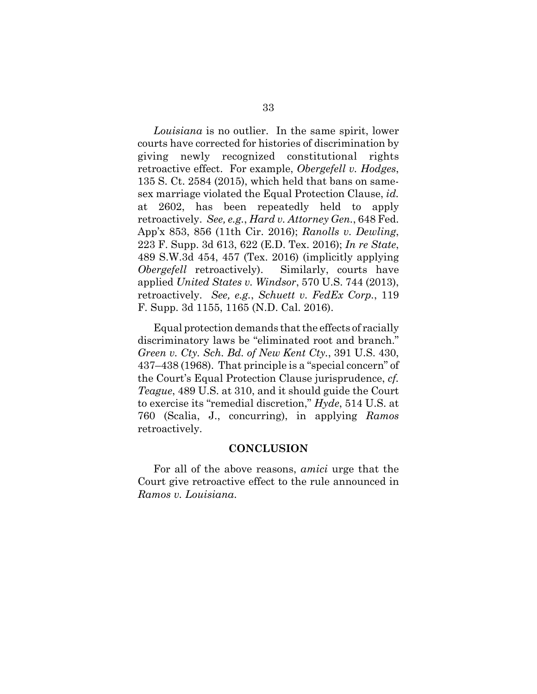*Louisiana* is no outlier. In the same spirit, lower courts have corrected for histories of discrimination by giving newly recognized constitutional rights retroactive effect. For example, *Obergefell v. Hodges*, 135 S. Ct. 2584 (2015), which held that bans on samesex marriage violated the Equal Protection Clause, *id.* at 2602, has been repeatedly held to apply retroactively. *See, e.g.*, *Hard v. Attorney Gen.*, 648 Fed. App'x 853, 856 (11th Cir. 2016); *Ranolls v. Dewling*, 223 F. Supp. 3d 613, 622 (E.D. Tex. 2016); *In re State*, 489 S.W.3d 454, 457 (Tex. 2016) (implicitly applying *Obergefell* retroactively). Similarly, courts have applied *United States v. Windsor*, 570 U.S. 744 (2013), retroactively. *See, e.g.*, *Schuett v. FedEx Corp.*, 119 F. Supp. 3d 1155, 1165 (N.D. Cal. 2016).

Equal protection demands that the effects of racially discriminatory laws be "eliminated root and branch." *Green v. Cty. Sch. Bd. of New Kent Cty.*, 391 U.S. 430, 437–438 (1968). That principle is a "special concern" of the Court's Equal Protection Clause jurisprudence, *cf. Teague*, 489 U.S. at 310, and it should guide the Court to exercise its "remedial discretion," *Hyde*, 514 U.S. at 760 (Scalia, J., concurring), in applying *Ramos* retroactively.

#### **CONCLUSION**

For all of the above reasons, *amici* urge that the Court give retroactive effect to the rule announced in *Ramos v. Louisiana*.